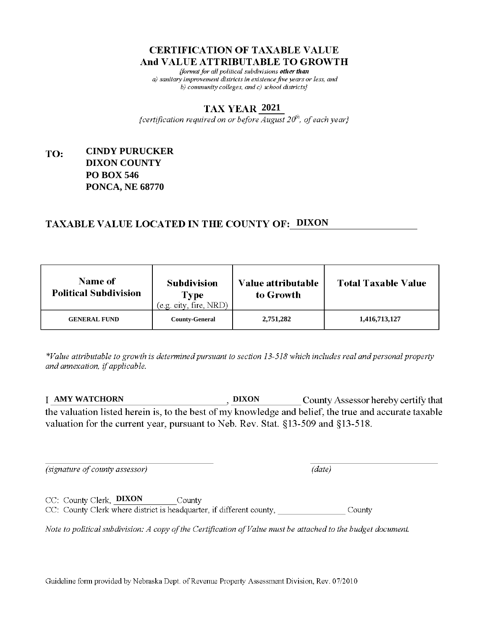fformat for all political subdivisions other than a) sanitary improvement districts in existence five years or less, and b) community colleges, and c) school districts}

#### **2021**

{certification required on or before  $\overline{August}$   $20<sup>th</sup>$ , of each year}

#### **CINDY PURUCKER** TO: **DIXON COUNTY PO BOX 546 PONCA, NE 68770**

# **TAXABLE VALUE LOCATED IN THE COUNTY OF: DIXON**

| <b>Name of</b><br><b>Political Subdivision</b> | <b>Subdivision</b><br><b>Type</b><br>(e.g. city, fire, NRD) | Value attributable<br>to Growth | <b>Total Taxable Value</b> |
|------------------------------------------------|-------------------------------------------------------------|---------------------------------|----------------------------|
| <b>GENERAL FUND</b>                            | <b>County-General</b>                                       | 2,751,282                       | 1,416,713,127              |

\*Value attributable to growth is determined pursuant to section 13-518 which includes real and personal property and annexation, if applicable.

**AMY WATCHORN DIXON** County Assessor hereby certify that the valuation listed herein is, to the best of my knowledge and belief, the true and accurate taxable valuation for the current year, pursuant to Neb. Rev. Stat. §13-509 and §13-518.

 $(data)$ 

(signature of county assessor)

CC: County Clerk, DIXON County CC: County Clerk where district is headquarter, if different county, County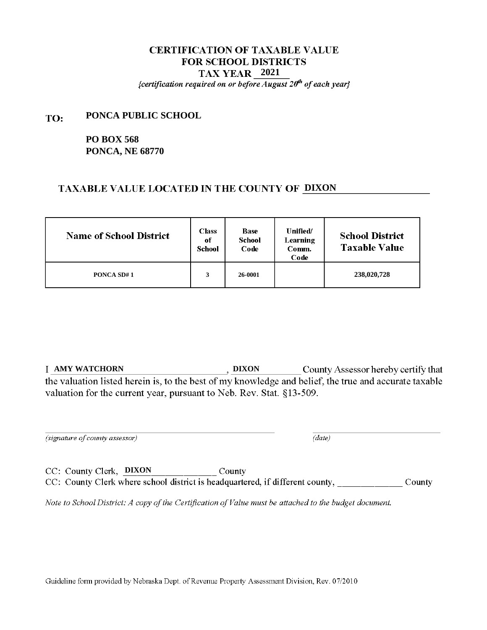{certification required on or before August  $20<sup>th</sup>$  of each year}

#### **PONCA PUBLIC SCHOOL** TO:

# **PO BOX 568 PONCA, NE 68770**

## TAXABLE VALUE LOCATED IN THE COUNTY OF DIXON

| <b>Name of School District</b> | <b>Class</b><br>of<br>School | <b>Base</b><br><b>School</b><br>Code | Unified/<br>Learning<br>Comm.<br>Code | <b>School District</b><br><b>Taxable Value</b> |
|--------------------------------|------------------------------|--------------------------------------|---------------------------------------|------------------------------------------------|
| <b>PONCA SD#1</b>              | 3                            | 26-0001                              |                                       | 238,020,728                                    |

**T** AMY WATCHORN **DIXON County Assessor hereby certify that** the valuation listed herein is, to the best of my knowledge and belief, the true and accurate taxable valuation for the current year, pursuant to Neb. Rev. Stat. §13-509.

(signature of county assessor)

 $\overline{(date)}$ 

CC: County Clerk, DIXON County CC: County Clerk where school district is headquartered, if different county, \_\_\_\_\_\_\_\_\_\_\_\_\_\_\_\_County

Note to School District: A copy of the Certification of Value must be attached to the budget document.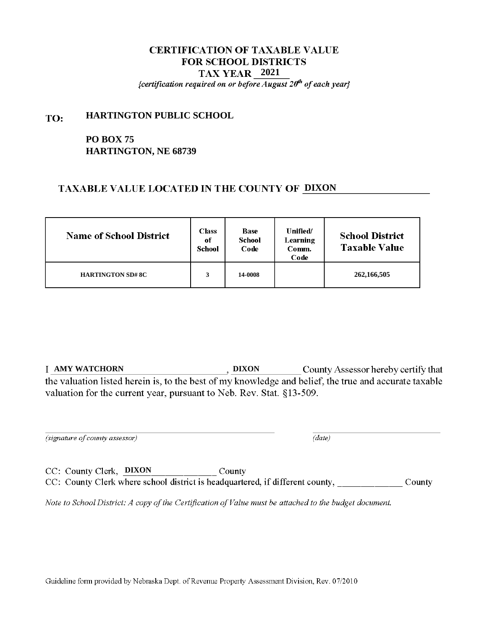{certification required on or before August  $20<sup>th</sup>$  of each year}

#### **HARTINGTON PUBLIC SCHOOL** TO:

# **PO BOX 75 HARTINGTON, NE 68739**

# TAXABLE VALUE LOCATED IN THE COUNTY OF DIXON

| <b>Name of School District</b> | <b>Class</b><br>of<br><b>School</b> | <b>Base</b><br>School<br>Code | <b>Unified</b><br>Learning<br>Comm.<br>Code | <b>School District</b><br><b>Taxable Value</b> |
|--------------------------------|-------------------------------------|-------------------------------|---------------------------------------------|------------------------------------------------|
| <b>HARTINGTON SD# 8C</b>       | 3                                   | 14-0008                       |                                             | 262, 166, 505                                  |

**T** AMY WATCHORN **DIXON County Assessor hereby certify that** the valuation listed herein is, to the best of my knowledge and belief, the true and accurate taxable valuation for the current year, pursuant to Neb. Rev. Stat. §13-509.

(signature of county assessor)

 $\overline{(date)}$ 

CC: County Clerk, DIXON County CC: County Clerk where school district is headquartered, if different county, \_\_\_\_\_\_\_\_\_\_\_\_\_\_\_\_County

Note to School District: A copy of the Certification of Value must be attached to the budget document.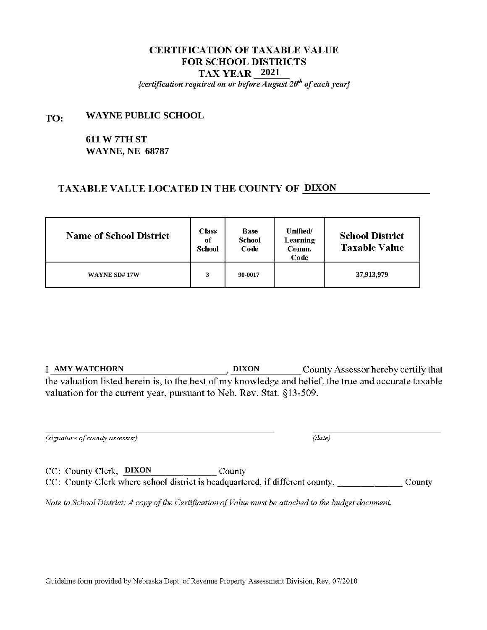{certification required on or before August  $20<sup>th</sup>$  of each year}

#### **WAYNE PUBLIC SCHOOL** TO:

# **611 W 7TH ST WAYNE, NE 68787**

## TAXABLE VALUE LOCATED IN THE COUNTY OF DIXON

| <b>Name of School District</b> | <b>Class</b><br>of<br>School | <b>Base</b><br><b>School</b><br>Code | Unified/<br>Learning<br>Comm.<br>Code | <b>School District</b><br><b>Taxable Value</b> |
|--------------------------------|------------------------------|--------------------------------------|---------------------------------------|------------------------------------------------|
| WAYNE SD#17W                   | 3                            | 90-0017                              |                                       | 37,913,979                                     |

**T** AMY WATCHORN **DIXON County Assessor hereby certify that** the valuation listed herein is, to the best of my knowledge and belief, the true and accurate taxable valuation for the current year, pursuant to Neb. Rev. Stat. §13-509.

(signature of county assessor)

 $\overline{(date)}$ 

CC: County Clerk, DIXON County CC: County Clerk where school district is headquartered, if different county, \_\_\_\_\_\_\_\_\_\_\_\_\_\_\_\_County

Note to School District: A copy of the Certification of Value must be attached to the budget document.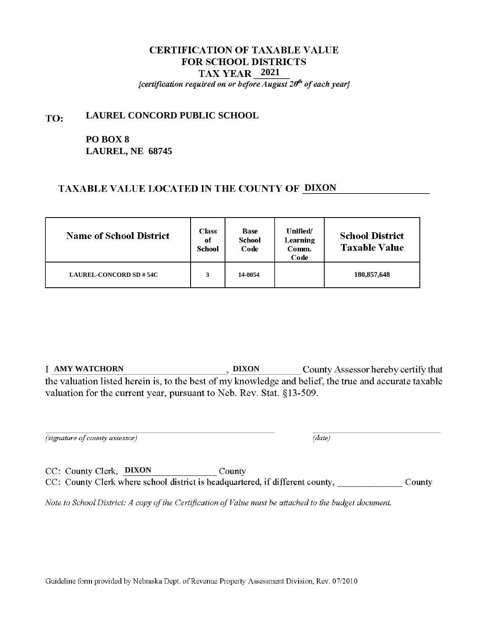{certification required on or before August  $20<sup>th</sup>$  of each year}

#### **LAUREL CONCORD PUBLIC SCHOOL** TO:

# **PO BOX 8 LAUREL, NE 68745**

# TAXABLE VALUE LOCATED IN THE COUNTY OF DIXON

| <b>Name of School District</b> | <b>Class</b><br>of<br>School | <b>Base</b><br>School<br>Code | <b>Unified/</b><br>Learning<br>Comm.<br>Code | <b>School District</b><br><b>Taxable Value</b> |
|--------------------------------|------------------------------|-------------------------------|----------------------------------------------|------------------------------------------------|
| <b>LAUREL-CONCORD SD # 54C</b> | 3                            | 14-0054                       |                                              | 180,857,648                                    |

**T** AMY WATCHORN **DIXON County Assessor hereby certify that** the valuation listed herein is, to the best of my knowledge and belief, the true and accurate taxable valuation for the current year, pursuant to Neb. Rev. Stat. §13-509.

(signature of county assessor)

 $\overline{(date)}$ 

CC: County Clerk, DIXON County CC: County Clerk where school district is headquartered, if different county, \_\_\_\_\_\_\_\_\_\_\_\_\_\_\_\_County

Note to School District: A copy of the Certification of Value must be attached to the budget document.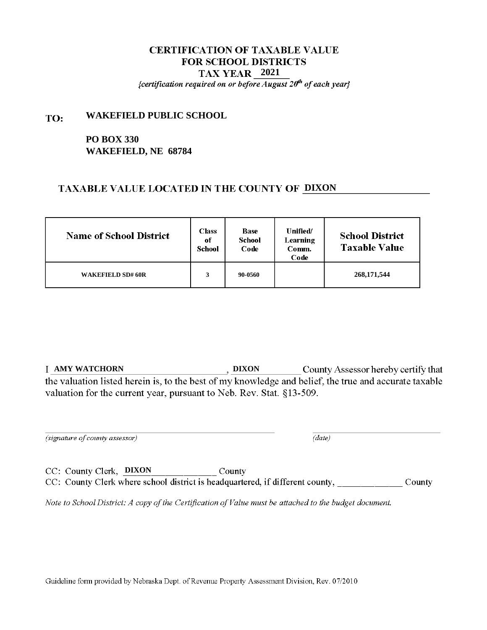{certification required on or before August  $20<sup>th</sup>$  of each year}

#### **WAKEFIELD PUBLIC SCHOOL** TO:

# **PO BOX 330 WAKEFIELD, NE 68784**

## TAXABLE VALUE LOCATED IN THE COUNTY OF DIXON

| <b>Name of School District</b> | <b>Class</b><br>of<br>School | <b>Base</b><br><b>School</b><br>Code | <b>Unified</b><br>Learning<br>Comm.<br>Code | <b>School District</b><br><b>Taxable Value</b> |
|--------------------------------|------------------------------|--------------------------------------|---------------------------------------------|------------------------------------------------|
| <b>WAKEFIELD SD# 60R</b>       | 3                            | 90-0560                              |                                             | 268, 171, 544                                  |

**T** AMY WATCHORN **DIXON County Assessor hereby certify that** the valuation listed herein is, to the best of my knowledge and belief, the true and accurate taxable valuation for the current year, pursuant to Neb. Rev. Stat. §13-509.

(signature of county assessor)

 $\overline{(date)}$ 

CC: County Clerk, DIXON County CC: County Clerk where school district is headquartered, if different county, \_\_\_\_\_\_\_\_\_\_\_\_\_\_\_\_County

Note to School District: A copy of the Certification of Value must be attached to the budget document.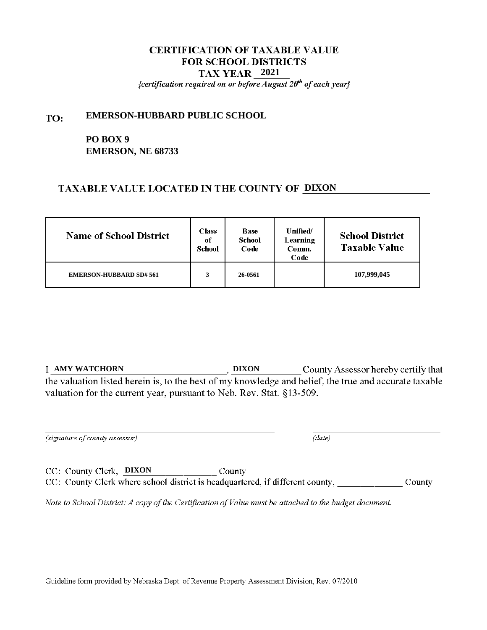{certification required on or before August  $20<sup>th</sup>$  of each year}

#### **EMERSON-HUBBARD PUBLIC SCHOOL** TO:

# **PO BOX 9 EMERSON, NE 68733**

# TAXABLE VALUE LOCATED IN THE COUNTY OF DIXON

| <b>Name of School District</b> | <b>Class</b><br>of<br>School | <b>Base</b><br>School<br>Code | Unified/<br>Learning<br>Comm.<br>Code | <b>School District</b><br><b>Taxable Value</b> |
|--------------------------------|------------------------------|-------------------------------|---------------------------------------|------------------------------------------------|
| <b>EMERSON-HUBBARD SD# 561</b> | 3                            | 26-0561                       |                                       | 107,999,045                                    |

**T** AMY WATCHORN **DIXON County Assessor hereby certify that** the valuation listed herein is, to the best of my knowledge and belief, the true and accurate taxable valuation for the current year, pursuant to Neb. Rev. Stat. §13-509.

(signature of county assessor)

 $\overline{(date)}$ 

CC: County Clerk, DIXON County CC: County Clerk where school district is headquartered, if different county, \_\_\_\_\_\_\_\_\_\_\_\_\_\_\_\_County

Note to School District: A copy of the Certification of Value must be attached to the budget document.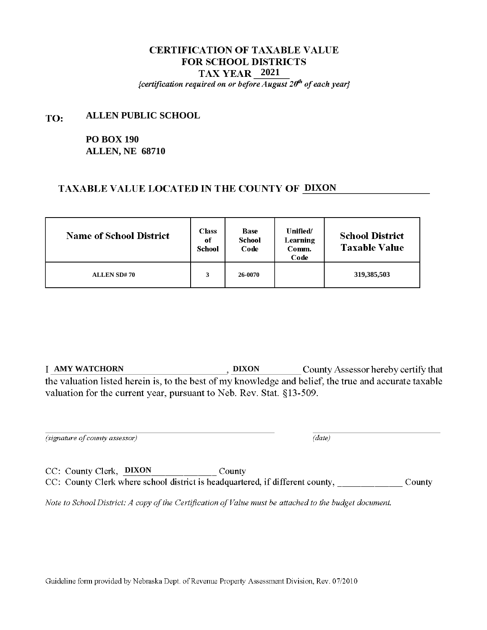{certification required on or before August  $20<sup>th</sup>$  of each year}

#### **ALLEN PUBLIC SCHOOL** TO:

# **PO BOX 190 ALLEN, NE 68710**

## TAXABLE VALUE LOCATED IN THE COUNTY OF DIXON

| <b>Name of School District</b> | <b>Class</b><br>of<br>School | <b>Base</b><br><b>School</b><br>Code | Unified/<br>Learning<br>Comm.<br>Code | <b>School District</b><br><b>Taxable Value</b> |
|--------------------------------|------------------------------|--------------------------------------|---------------------------------------|------------------------------------------------|
| <b>ALLEN SD#70</b>             | 3                            | 26-0070                              |                                       | 319,385,503                                    |

**T** AMY WATCHORN **DIXON County Assessor hereby certify that** the valuation listed herein is, to the best of my knowledge and belief, the true and accurate taxable valuation for the current year, pursuant to Neb. Rev. Stat. §13-509.

(signature of county assessor)

 $\overline{(date)}$ 

CC: County Clerk, DIXON County CC: County Clerk where school district is headquartered, if different county, \_\_\_\_\_\_\_\_\_\_\_\_\_\_\_\_County

Note to School District: A copy of the Certification of Value must be attached to the budget document.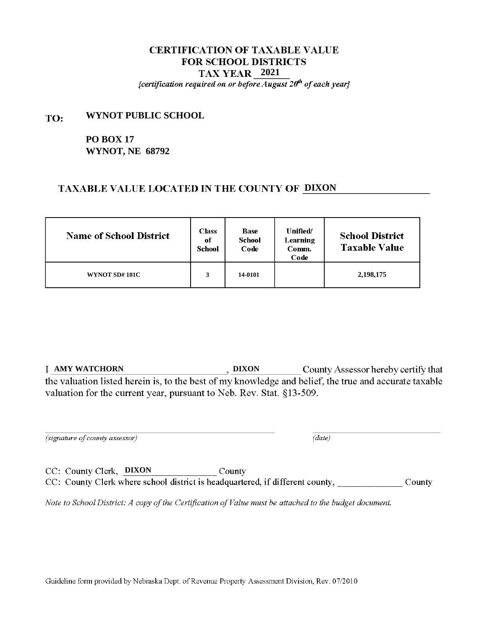{certification required on or before August  $20<sup>th</sup>$  of each year}

#### **WYNOT PUBLIC SCHOOL** TO:

**PO BOX 17 WYNOT, NE 68792**

#### **TAXABLE VALUE LOCATED IN THE COUNTY OF DIXON**

| <b>Name of School District</b> | <b>Class</b><br>of<br>School | <b>Base</b><br><b>School</b><br>Code | Unified/<br>Learning<br>Comm.<br>Code | <b>School District</b><br><b>Taxable Value</b> |
|--------------------------------|------------------------------|--------------------------------------|---------------------------------------|------------------------------------------------|
| WYNOT SD#101C                  | 3                            | 14-0101                              |                                       | 2,198,175                                      |

**T** AMY WATCHORN **DIXON County Assessor hereby certify that** the valuation listed herein is, to the best of my knowledge and belief, the true and accurate taxable valuation for the current year, pursuant to Neb. Rev. Stat. §13-509.

(signature of county assessor)

 $\overline{(date)}$ 

CC: County Clerk, DIXON County CC: County Clerk where school district is headquartered, if different county, \_\_\_\_\_\_\_\_\_\_\_\_\_\_\_\_County

Note to School District: A copy of the Certification of Value must be attached to the budget document.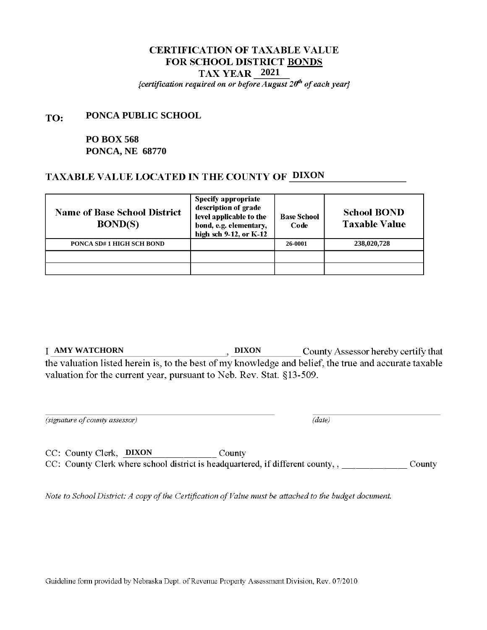{certification required on or before August  $20<sup>th</sup>$  of each year}

#### **PONCA PUBLIC SCHOOL** TO:

# **PO BOX 568 PONCA, NE 68770**

## **TAXABLE VALUE LOCATED IN THE COUNTY OF DIXON**

| <b>Name of Base School District</b><br><b>BOND(S)</b> | <b>Specify appropriate</b><br>description of grade<br>level applicable to the<br>bond, e.g. elementary,<br>high sch 9-12, or K-12 | <b>Base School</b><br>Code | <b>School BOND</b><br><b>Taxable Value</b> |
|-------------------------------------------------------|-----------------------------------------------------------------------------------------------------------------------------------|----------------------------|--------------------------------------------|
| PONCA SD#1 HIGH SCH BOND                              |                                                                                                                                   | 26-0001                    | 238,020,728                                |
|                                                       |                                                                                                                                   |                            |                                            |
|                                                       |                                                                                                                                   |                            |                                            |

**T** AMY WATCHORN **COUNTER SEXUAL SEXUAL SEXUAL SEXUAL SEXUAL SEXUAL SEXUAL SEXUAL SEXUAL SEXUAL SEXUAL SEXUAL SEXUAL SEXUAL SEXUAL SEXUAL SEXUAL SEXUAL SEXUAL SEXUAL SEXUAL SEXUAL SEXUAL SEXUAL SEXUAL SEXUAL SEXUAL SEXUAL** the valuation listed herein is, to the best of my knowledge and belief, the true and accurate taxable valuation for the current year, pursuant to Neb. Rev. Stat. §13-509.

(signature of county assessor)

 $(data)$ 

CC: County Clerk, **DIXON** County CC: County Clerk where school district is headquartered, if different county,,

Note to School District: A copy of the Certification of Value must be attached to the budget document.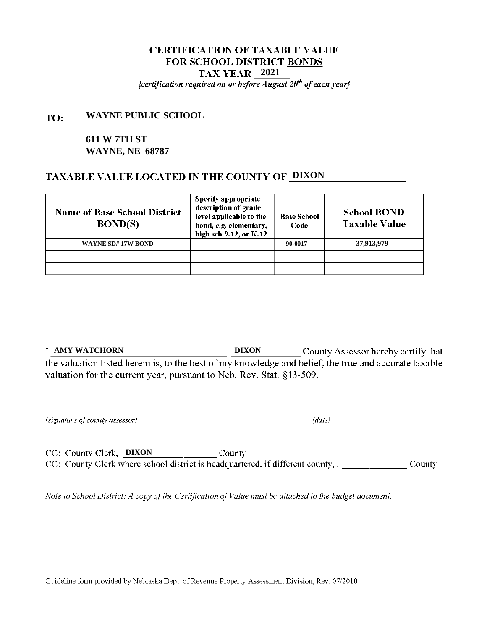{certification required on or before August  $20<sup>th</sup>$  of each year}

#### **WAYNE PUBLIC SCHOOL** TO:

## **611 W 7TH ST WAYNE, NE 68787**

## **TAXABLE VALUE LOCATED IN THE COUNTY OF DIXON**

| <b>Name of Base School District</b><br><b>BOND(S)</b> | Specify appropriate<br>description of grade<br>level applicable to the<br>bond, e.g. elementary,<br>high sch 9-12, or K-12 | <b>Base School</b><br>Code | <b>School BOND</b><br><b>Taxable Value</b> |
|-------------------------------------------------------|----------------------------------------------------------------------------------------------------------------------------|----------------------------|--------------------------------------------|
| <b>WAYNE SD#17W BOND</b>                              |                                                                                                                            | 90-0017                    | 37,913,979                                 |
|                                                       |                                                                                                                            |                            |                                            |
|                                                       |                                                                                                                            |                            |                                            |

**T** AMY WATCHORN **COUNTER SEXUAL SEXUAL SEXUAL SEXUAL SEXUAL SEXUAL SEXUAL SEXUAL SEXUAL SEXUAL SEXUAL SEXUAL SEXUAL SEXUAL SEXUAL SEXUAL SEXUAL SEXUAL SEXUAL SEXUAL SEXUAL SEXUAL SEXUAL SEXUAL SEXUAL SEXUAL SEXUAL SEXUAL** the valuation listed herein is, to the best of my knowledge and belief, the true and accurate taxable valuation for the current year, pursuant to Neb. Rev. Stat. §13-509.

(signature of county assessor)

 $(data)$ 

CC: County Clerk, **DIXON** County CC: County Clerk where school district is headquartered, if different county,,

Note to School District: A copy of the Certification of Value must be attached to the budget document.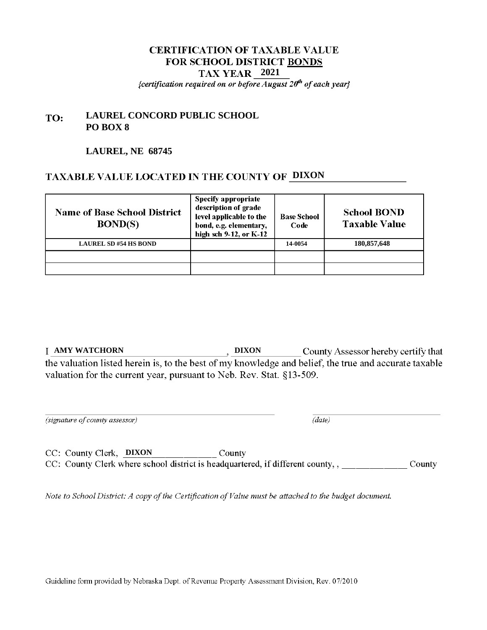## **CERTIFICATION OF TAXABLE VALUE** FOR SCHOOL DISTRICT BONDS **2021** {certification required on or before August  $20<sup>th</sup>$  of each year}

#### **LAUREL CONCORD PUBLIC SCHOOL** TO: **PO BOX 8**

#### **LAUREL, NE 68745**

# **TAXABLE VALUE LOCATED IN THE COUNTY OF DIXON**

| <b>Name of Base School District</b><br>BOND(S) | Specify appropriate<br>description of grade<br>level applicable to the<br>bond, e.g. elementary,<br>high sch 9-12, or K-12 | <b>Base School</b><br>Code | <b>School BOND</b><br><b>Taxable Value</b> |
|------------------------------------------------|----------------------------------------------------------------------------------------------------------------------------|----------------------------|--------------------------------------------|
| <b>LAUREL SD #54 HS BOND</b>                   |                                                                                                                            | 14-0054                    | 180,857,648                                |
|                                                |                                                                                                                            |                            |                                            |
|                                                |                                                                                                                            |                            |                                            |

**I AMY WATCHORN** , DIXON County Assessor hereby certify that the valuation listed herein is, to the best of my knowledge and belief, the true and accurate taxable valuation for the current year, pursuant to Neb. Rev. Stat. §13-509.

(signature of county assessor)

 $(data)$ 

CC: County Clerk, **DIXON** County CC: County Clerk where school district is headquartered, if different county,,

Note to School District: A copy of the Certification of Value must be attached to the budget document.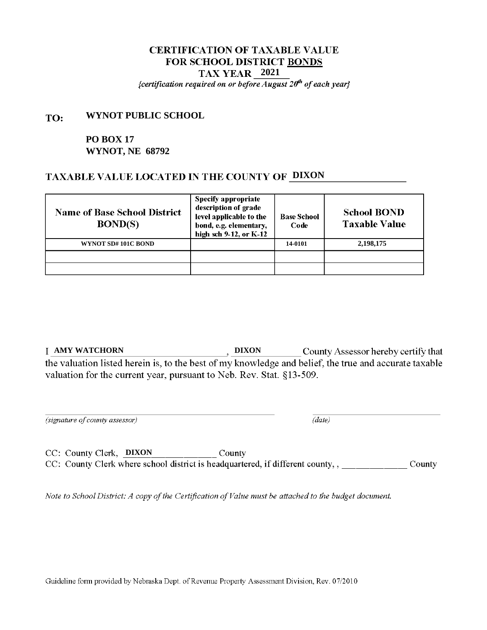{certification required on or before August  $20<sup>th</sup>$  of each year}

#### **WYNOT PUBLIC SCHOOL** TO:

# **PO BOX 17 WYNOT, NE 68792**

## **TAXABLE VALUE LOCATED IN THE COUNTY OF DIXON**

| <b>Name of Base School District</b><br><b>BOND(S)</b> | <b>Specify appropriate</b><br>description of grade<br>level applicable to the<br>bond, e.g. elementary,<br>high sch 9-12, or K-12 | <b>Base School</b><br>Code | <b>School BOND</b><br><b>Taxable Value</b> |
|-------------------------------------------------------|-----------------------------------------------------------------------------------------------------------------------------------|----------------------------|--------------------------------------------|
| WYNOT SD#101C BOND                                    |                                                                                                                                   | 14-0101                    | 2,198,175                                  |
|                                                       |                                                                                                                                   |                            |                                            |
|                                                       |                                                                                                                                   |                            |                                            |

**T** AMY WATCHORN **COUNTER SEXUAL SEXUAL SEXUAL SEXUAL SEXUAL SEXUAL SEXUAL SEXUAL SEXUAL SEXUAL SEXUAL SEXUAL SEXUAL SEXUAL SEXUAL SEXUAL SEXUAL SEXUAL SEXUAL SEXUAL SEXUAL SEXUAL SEXUAL SEXUAL SEXUAL SEXUAL SEXUAL SEXUAL** the valuation listed herein is, to the best of my knowledge and belief, the true and accurate taxable valuation for the current year, pursuant to Neb. Rev. Stat. §13-509.

(signature of county assessor)

 $(data)$ 

CC: County Clerk, **DIXON** County CC: County Clerk where school district is headquartered, if different county,,

Note to School District: A copy of the Certification of Value must be attached to the budget document.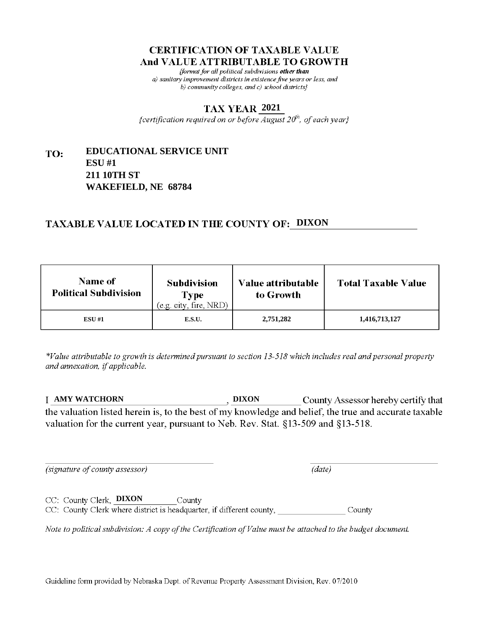fformat for all political subdivisions other than a) sanitary improvement districts in existence five years or less, and b) community colleges, and c) school districts}

#### **2021**

{certification required on or before  $\overline{August}$   $20<sup>th</sup>$ , of each year}

#### **EDUCATIONAL SERVICE UNIT** TO: **ESU #1 211 10TH ST WAKEFIELD, NE 68784**

# **TAXABLE VALUE LOCATED IN THE COUNTY OF: DIXON**

| <b>Name of</b><br><b>Political Subdivision</b> | <b>Subdivision</b><br>Type<br>(e.g. city, fire, NRD) | <b>Value attributable</b><br>to Growth | <b>Total Taxable Value</b> |
|------------------------------------------------|------------------------------------------------------|----------------------------------------|----------------------------|
| <b>ESU #1</b>                                  | E.S.U.                                               | 2,751,282                              | 1,416,713,127              |

\*Value attributable to growth is determined pursuant to section 13-518 which includes real and personal property and annexation, if applicable.

**AMY WATCHORN DIXON** County Assessor hereby certify that the valuation listed herein is, to the best of my knowledge and belief, the true and accurate taxable valuation for the current year, pursuant to Neb. Rev. Stat. §13-509 and §13-518.

 $(data)$ 

(signature of county assessor)

CC: County Clerk, DIXON County CC: County Clerk where district is headquarter, if different county, County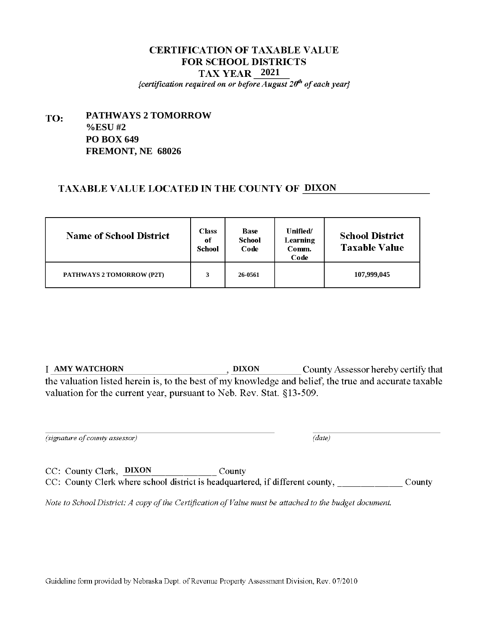{certification required on or before August  $20<sup>th</sup>$  of each year}

#### **PATHWAYS 2 TOMORROW** TO: **%ESU #2 PO BOX 649 FREMONT, NE 68026**

## TAXABLE VALUE LOCATED IN THE COUNTY OF DIXON

| <b>Name of School District</b>   | <b>Class</b><br>of<br>School | <b>Base</b><br><b>School</b><br>Code | <b>Unified</b><br>Learning<br>Comm.<br>Code | <b>School District</b><br><b>Taxable Value</b> |
|----------------------------------|------------------------------|--------------------------------------|---------------------------------------------|------------------------------------------------|
| <b>PATHWAYS 2 TOMORROW (P2T)</b> | 3                            | 26-0561                              |                                             | 107,999,045                                    |

**T** AMY WATCHORN **DIXON County Assessor hereby certify that** the valuation listed herein is, to the best of my knowledge and belief, the true and accurate taxable valuation for the current year, pursuant to Neb. Rev. Stat. §13-509.

(signature of county assessor)

 $\overline{(date)}$ 

CC: County Clerk, DIXON County CC: County Clerk where school district is headquartered, if different county, \_\_\_\_\_\_\_\_\_\_\_\_\_\_\_\_County

Note to School District: A copy of the Certification of Value must be attached to the budget document.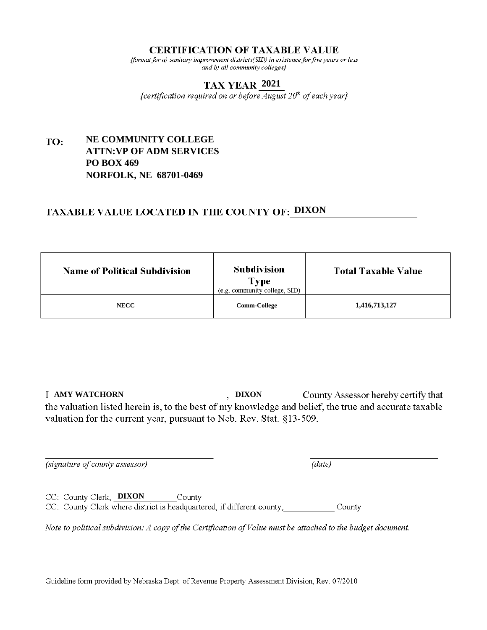#### **CERTIFICATION OF TAXABLE VALUE**

 $\{format\ for\ a\}$  sanitary improvement districts(SID) in existence for five years or less and b) all community colleges?

## **2021**

{certification required on or before August  $20^h$  of each year}

#### **NE COMMUNITY COLLEGE** TO: **ATTN:VP OF ADM SERVICES PO BOX 469 NORFOLK, NE 68701-0469**

# **TAXABLE VALUE LOCATED IN THE COUNTY OF: DIXON**

| <b>Name of Political Subdivision</b> | <b>Subdivision</b><br>Type<br>(e.g. community college, SID) | <b>Total Taxable Value</b> |
|--------------------------------------|-------------------------------------------------------------|----------------------------|
| <b>NECC</b>                          | <b>Comm-College</b>                                         | 1,416,713,127              |

**AMY WATCHORN DIXON** County Assessor hereby certify that the valuation listed herein is, to the best of my knowledge and belief, the true and accurate taxable valuation for the current year, pursuant to Neb. Rev. Stat. §13-509.

(signature of county assessor)

(date)

CC: County Clerk, DIXON County CC: County Clerk where district is headquartered, if different county, County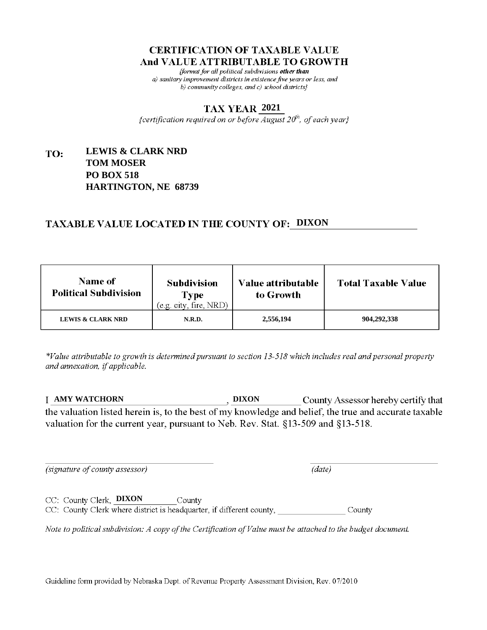fformat for all political subdivisions other than a) sanitary improvement districts in existence five years or less, and b) community colleges, and c) school districts}

#### **2021**

{certification required on or before  $\overline{August}$   $20<sup>th</sup>$ , of each year}

#### **LEWIS & CLARK NRD** TO: **TOM MOSER PO BOX 518 HARTINGTON, NE 68739**

# **TAXABLE VALUE LOCATED IN THE COUNTY OF: DIXON**

| <b>Name of</b><br><b>Political Subdivision</b> | <b>Subdivision</b><br><b>Type</b><br>(e.g. city, fire, NRD) | Value attributable<br>to Growth | <b>Total Taxable Value</b> |
|------------------------------------------------|-------------------------------------------------------------|---------------------------------|----------------------------|
| <b>LEWIS &amp; CLARK NRD</b>                   | N.R.D.                                                      | 2,556,194                       | 904,292,338                |

\*Value attributable to growth is determined pursuant to section 13-518 which includes real and personal property and annexation, if applicable.

**AMY WATCHORN DIXON** County Assessor hereby certify that the valuation listed herein is, to the best of my knowledge and belief, the true and accurate taxable valuation for the current year, pursuant to Neb. Rev. Stat. §13-509 and §13-518.

(signature of county assessor)

 $(data)$ 

CC: County Clerk, DIXON County CC: County Clerk where district is headquarter, if different county, County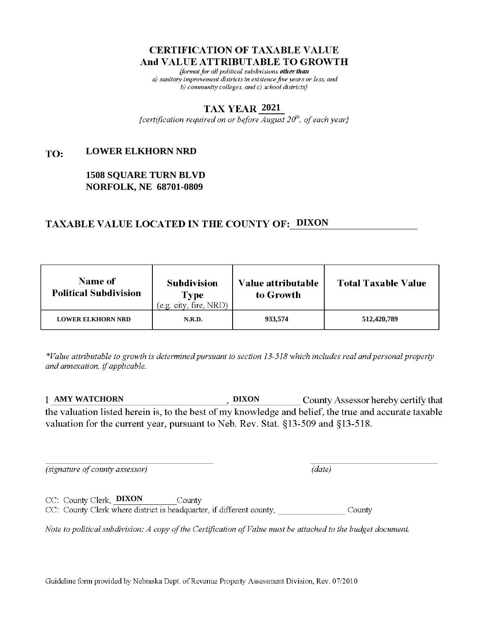fformat for all political subdivisions other than a) sanitary improvement districts in existence five years or less, and b) community colleges, and c) school districts}

#### **2021**

{certification required on or before  $\overline{August}$   $20<sup>th</sup>$ , of each year}

#### **LOWER ELKHORN NRD** TO:

## **1508 SQUARE TURN BLVD NORFOLK, NE 68701-0809**

## **TAXABLE VALUE LOCATED IN THE COUNTY OF: DIXON**

| <b>Name of</b><br><b>Political Subdivision</b> | <b>Subdivision</b><br>Type<br>(e.g. city, fire, NRD) | Value attributable<br>to Growth | <b>Total Taxable Value</b> |
|------------------------------------------------|------------------------------------------------------|---------------------------------|----------------------------|
| <b>LOWER ELKHORN NRD</b>                       | N.R.D.                                               | 933,574                         | 512,420,789                |

\*Value attributable to growth is determined pursuant to section 13-518 which includes real and personal property and annexation, if applicable.

**AMY WATCHORN DIXON** County Assessor hereby certify that the valuation listed herein is, to the best of my knowledge and belief, the true and accurate taxable valuation for the current year, pursuant to Neb. Rev. Stat. §13-509 and §13-518.

 $(data)$ 

(signature of county assessor)

CC: County Clerk, **DIXON** County CC: County Clerk where district is headquarter, if different county, County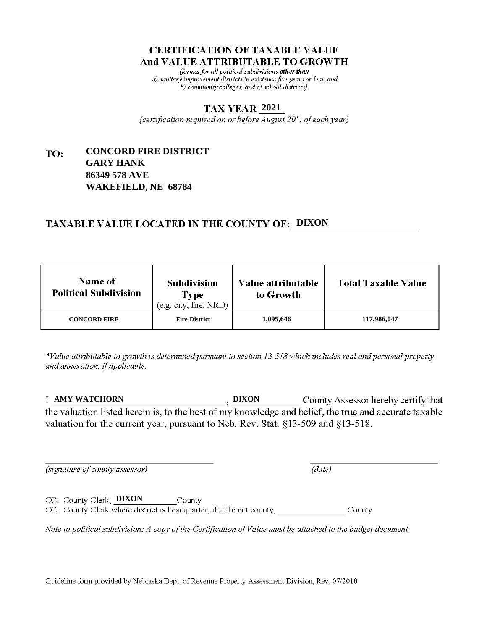fformat for all political subdivisions other than a) sanitary improvement districts in existence five years or less, and b) community colleges, and c) school districts $\}$ 

#### **2021**

{certification required on or before  $\overline{August}$   $20<sup>th</sup>$ , of each year}

#### **CONCORD FIRE DISTRICT** TO: **GARY HANK 86349 578 AVE WAKEFIELD, NE 68784**

# **TAXABLE VALUE LOCATED IN THE COUNTY OF: DIXON**

| Name of<br><b>Political Subdivision</b> | <b>Subdivision</b><br>Type<br>(e.g. city, fire, NRD) | <b>Value attributable</b><br>to Growth | <b>Total Taxable Value</b> |
|-----------------------------------------|------------------------------------------------------|----------------------------------------|----------------------------|
| <b>CONCORD FIRE</b>                     | <b>Fire-District</b>                                 | 1,095,646                              | 117,986,047                |

\*Value attributable to growth is determined pursuant to section 13-518 which includes real and personal property and annexation, if applicable.

**AMY WATCHORN DIXON** County Assessor hereby certify that the valuation listed herein is, to the best of my knowledge and belief, the true and accurate taxable valuation for the current year, pursuant to Neb. Rev. Stat. §13-509 and §13-518.

 $(data)$ 

(signature of county assessor)

CC: County Clerk, **DIXON** County CC: County Clerk where district is headquarter, if different county, County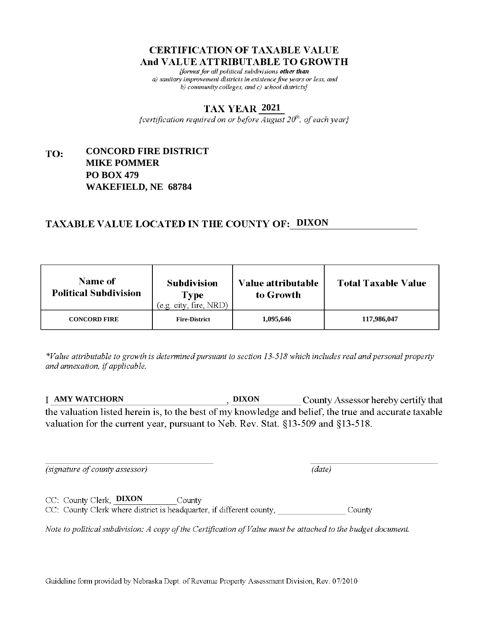fformat for all political subdivisions other than a) sanitary improvement districts in existence five years or less, and b) community colleges, and c) school districts $\}$ 

#### **2021**

{certification required on or before  $\overline{August}$   $20<sup>th</sup>$ , of each year}

#### **CONCORD FIRE DISTRICT** TO: **MIKE POMMER PO BOX 479 WAKEFIELD, NE 68784**

# **TAXABLE VALUE LOCATED IN THE COUNTY OF: DIXON**

| <b>Name of</b><br><b>Political Subdivision</b> | <b>Subdivision</b><br>Type<br>(e.g. city, fire, NRD) | Value attributable<br>to Growth | <b>Total Taxable Value</b> |
|------------------------------------------------|------------------------------------------------------|---------------------------------|----------------------------|
| <b>CONCORD FIRE</b>                            | <b>Fire-District</b>                                 | 1,095,646                       | 117,986,047                |

\*Value attributable to growth is determined pursuant to section 13-518 which includes real and personal property and annexation, if applicable.

**AMY WATCHORN DIXON** County Assessor hereby certify that the valuation listed herein is, to the best of my knowledge and belief, the true and accurate taxable valuation for the current year, pursuant to Neb. Rev. Stat. §13-509 and §13-518.

(signature of county assessor)

 $(data)$ 

CC: County Clerk, **DIXON** County CC: County Clerk where district is headquarter, if different county, County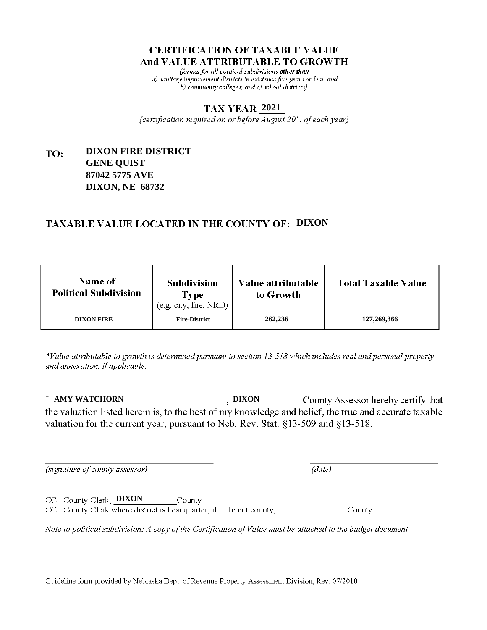fformat for all political subdivisions other than a) sanitary improvement districts in existence five years or less, and b) community colleges, and c) school districts $\}$ 

#### **2021**

{certification required on or before  $\overline{August}$   $20<sup>th</sup>$ , of each year}

#### **DIXON FIRE DISTRICT** TO: **GENE QUIST 87042 5775 AVE DIXON, NE 68732**

## **TAXABLE VALUE LOCATED IN THE COUNTY OF: DIXON**

| <b>Name of</b><br><b>Political Subdivision</b> | <b>Subdivision</b><br>Type<br>(e.g. city, fire, NRD) | Value attributable<br>to Growth | <b>Total Taxable Value</b> |
|------------------------------------------------|------------------------------------------------------|---------------------------------|----------------------------|
| <b>DIXON FIRE</b>                              | <b>Fire-District</b>                                 | 262,236                         | 127,269,366                |

\*Value attributable to growth is determined pursuant to section 13-518 which includes real and personal property and annexation, if applicable.

**AMY WATCHORN DIXON** County Assessor hereby certify that the valuation listed herein is, to the best of my knowledge and belief, the true and accurate taxable valuation for the current year, pursuant to Neb. Rev. Stat. §13-509 and §13-518.

 $(data)$ 

(signature of county assessor)

CC: County Clerk, **DIXON** County CC: County Clerk where district is headquarter, if different county, County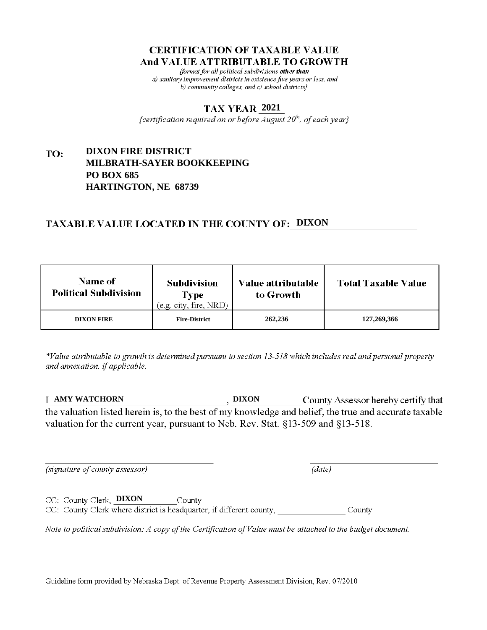fformat for all political subdivisions other than a) sanitary improvement districts in existence five years or less, and b) community colleges, and c) school districts $\}$ 

#### **2021**

{certification required on or before  $\overline{August}$   $20<sup>th</sup>$ , of each year}

#### **DIXON FIRE DISTRICT** TO: **MILBRATH-SAYER BOOKKEEPING PO BOX 685 HARTINGTON, NE 68739**

# **TAXABLE VALUE LOCATED IN THE COUNTY OF: DIXON**

| <b>Name of</b><br><b>Political Subdivision</b> | <b>Subdivision</b><br><b>Type</b><br>(e.g. city, fire, NRD) | Value attributable<br>to Growth | <b>Total Taxable Value</b> |
|------------------------------------------------|-------------------------------------------------------------|---------------------------------|----------------------------|
| <b>DIXON FIRE</b>                              | <b>Fire-District</b>                                        | 262,236                         | 127,269,366                |

\*Value attributable to growth is determined pursuant to section 13-518 which includes real and personal property and annexation, if applicable.

**AMY WATCHORN DIXON** County Assessor hereby certify that the valuation listed herein is, to the best of my knowledge and belief, the true and accurate taxable valuation for the current year, pursuant to Neb. Rev. Stat. §13-509 and §13-518.

 $(data)$ 

(signature of county assessor)

CC: County Clerk, **DIXON** County

CC: County Clerk where district is headquarter, if different county, County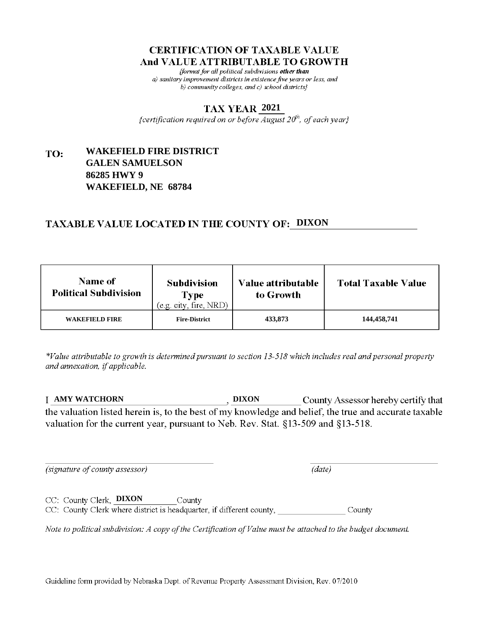fformat for all political subdivisions other than a) sanitary improvement districts in existence five years or less, and b) community colleges, and c) school districts}

#### **2021**

{certification required on or before  $\overline{August}$   $20<sup>th</sup>$ , of each year}

#### **WAKEFIELD FIRE DISTRICT** TO: **GALEN SAMUELSON 86285 HWY 9 WAKEFIELD, NE 68784**

# **TAXABLE VALUE LOCATED IN THE COUNTY OF: DIXON**

| Name of<br><b>Political Subdivision</b> | <b>Subdivision</b><br>Type<br>(e.g. city, fire, NRD) | <b>Value attributable</b><br>to Growth | <b>Total Taxable Value</b> |
|-----------------------------------------|------------------------------------------------------|----------------------------------------|----------------------------|
| <b>WAKEFIELD FIRE</b>                   | <b>Fire-District</b>                                 | 433,873                                | 144,458,741                |

\*Value attributable to growth is determined pursuant to section 13-518 which includes real and personal property and annexation, if applicable.

**AMY WATCHORN DIXON** County Assessor hereby certify that the valuation listed herein is, to the best of my knowledge and belief, the true and accurate taxable valuation for the current year, pursuant to Neb. Rev. Stat. §13-509 and §13-518.

 $(data)$ 

(signature of county assessor)

CC: County Clerk, DIXON County CC: County Clerk where district is headquarter, if different county, County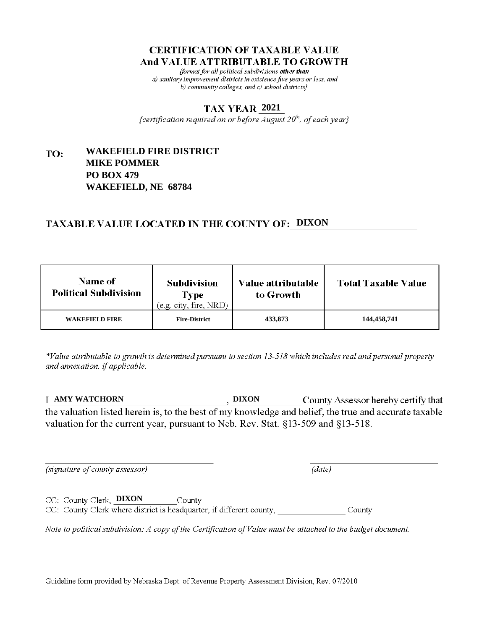fformat for all political subdivisions other than a) sanitary improvement districts in existence five years or less, and b) community colleges, and c) school districts $\}$ 

#### **2021**

{certification required on or before  $\overline{August}$   $20<sup>th</sup>$ , of each year}

#### **WAKEFIELD FIRE DISTRICT** TO: **MIKE POMMER PO BOX 479 WAKEFIELD, NE 68784**

# **TAXABLE VALUE LOCATED IN THE COUNTY OF: DIXON**

| <b>Name of</b><br><b>Political Subdivision</b> | <b>Subdivision</b><br>Type<br>(e.g. city, fire, NRD) | Value attributable<br>to Growth | <b>Total Taxable Value</b> |
|------------------------------------------------|------------------------------------------------------|---------------------------------|----------------------------|
| <b>WAKEFIELD FIRE</b>                          | <b>Fire-District</b>                                 | 433,873                         | 144,458,741                |

\*Value attributable to growth is determined pursuant to section 13-518 which includes real and personal property and annexation, if applicable.

**AMY WATCHORN DIXON** County Assessor hereby certify that the valuation listed herein is, to the best of my knowledge and belief, the true and accurate taxable valuation for the current year, pursuant to Neb. Rev. Stat. §13-509 and §13-518.

(signature of county assessor)

CC: County Clerk, **DIXON** 

 $(data)$ 

CC: County Clerk where district is headquarter, if different county, County

County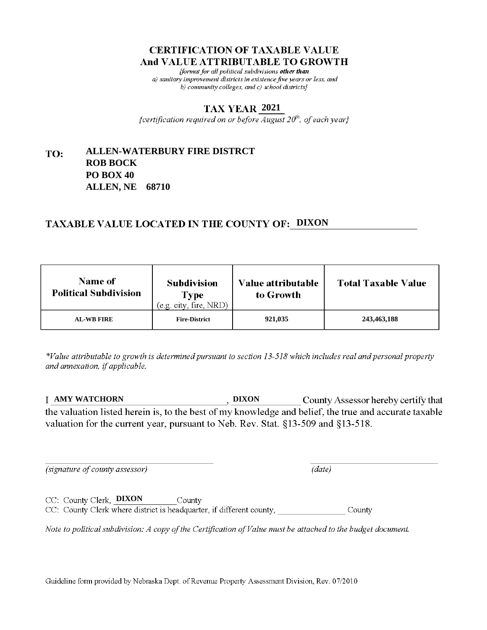fformat for all political subdivisions other than a) sanitary improvement districts in existence five years or less, and b) community colleges, and c) school districts $\}$ 

#### **2021**

{certification required on or before  $\overline{August}$   $20<sup>th</sup>$ , of each year}

#### **ALLEN-WATERBURY FIRE DISTRCT** TO: **ROB BOCK PO BOX 40 ALLEN, NE 68710**

## **TAXABLE VALUE LOCATED IN THE COUNTY OF: DIXON**

| <b>Name of</b><br><b>Political Subdivision</b> | <b>Subdivision</b><br><b>Type</b><br>(e.g. city, fire, NRD) | Value attributable<br>to Growth | <b>Total Taxable Value</b> |
|------------------------------------------------|-------------------------------------------------------------|---------------------------------|----------------------------|
| <b>AL-WB FIRE</b>                              | <b>Fire-District</b>                                        | 921,035                         | 243,463,188                |

\*Value attributable to growth is determined pursuant to section 13-518 which includes real and personal property and annexation, if applicable.

**AMY WATCHORN DIXON** County Assessor hereby certify that the valuation listed herein is, to the best of my knowledge and belief, the true and accurate taxable valuation for the current year, pursuant to Neb. Rev. Stat. §13-509 and §13-518.

(signature of county assessor)

 $(data)$ 

CC: County Clerk, DIXON County CC: County Clerk where district is headquarter, if different county, County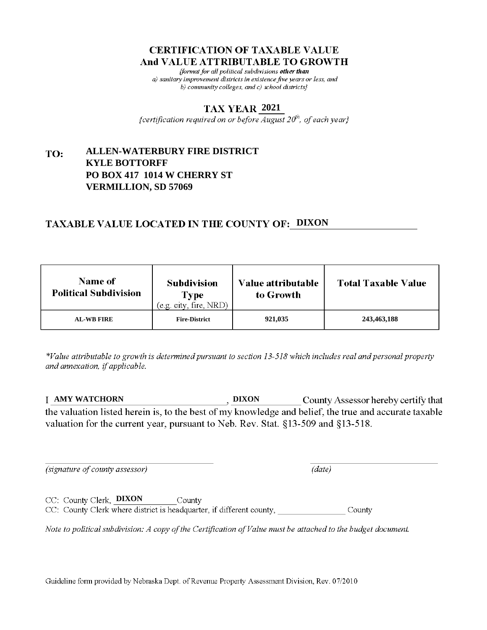fformat for all political subdivisions other than a) sanitary improvement districts in existence five years or less, and b) community colleges, and c) school districts}

#### **2021**

{certification required on or before August  $20^{th}$ , of each year}

#### **ALLEN-WATERBURY FIRE DISTRICT** TO: **KYLE BOTTORFF PO BOX 417 1014 W CHERRY ST VERMILLION, SD 57069**

## **TAXABLE VALUE LOCATED IN THE COUNTY OF: DIXON**

| <b>Name of</b><br><b>Political Subdivision</b> | <b>Subdivision</b><br><b>Type</b><br>(e.g. city, fire, NRD) | Value attributable<br>to Growth | <b>Total Taxable Value</b> |
|------------------------------------------------|-------------------------------------------------------------|---------------------------------|----------------------------|
| <b>AL-WB FIRE</b>                              | <b>Fire-District</b>                                        | 921,035                         | 243,463,188                |

\*Value attributable to growth is determined pursuant to section 13-518 which includes real and personal property and annexation, if applicable.

**AMY WATCHORN DIXON** County Assessor hereby certify that the valuation listed herein is, to the best of my knowledge and belief, the true and accurate taxable valuation for the current year, pursuant to Neb. Rev. Stat. §13-509 and §13-518.

(signature of county assessor)

 $(data)$ 

CC: County Clerk, **DIXON** County CC: County Clerk where district is headquarter, if different county, County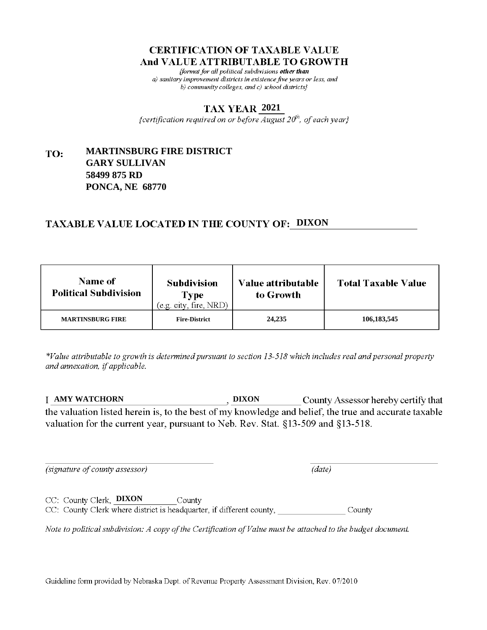fformat for all political subdivisions other than a) sanitary improvement districts in existence five years or less, and b) community colleges, and c) school districts $\}$ 

#### **2021**

{certification required on or before  $\overline{August}$   $20<sup>th</sup>$ , of each year}

#### **MARTINSBURG FIRE DISTRICT** TO: **GARY SULLIVAN 58499 875 RD PONCA, NE 68770**

## **TAXABLE VALUE LOCATED IN THE COUNTY OF: DIXON**

| <b>Name of</b><br><b>Political Subdivision</b> | <b>Subdivision</b><br>Type<br>(e.g. city, fire, NRD) | Value attributable<br>to Growth | <b>Total Taxable Value</b> |
|------------------------------------------------|------------------------------------------------------|---------------------------------|----------------------------|
| <b>MARTINSBURG FIRE</b>                        | <b>Fire-District</b>                                 | 24,235                          | 106, 183, 545              |

\*Value attributable to growth is determined pursuant to section 13-518 which includes real and personal property and annexation, if applicable.

**AMY WATCHORN DIXON** County Assessor hereby certify that the valuation listed herein is, to the best of my knowledge and belief, the true and accurate taxable valuation for the current year, pursuant to Neb. Rev. Stat. §13-509 and §13-518.

 $(data)$ 

(signature of county assessor)

CC: County Clerk, **DIXON** County CC: County Clerk where district is headquarter, if different county, County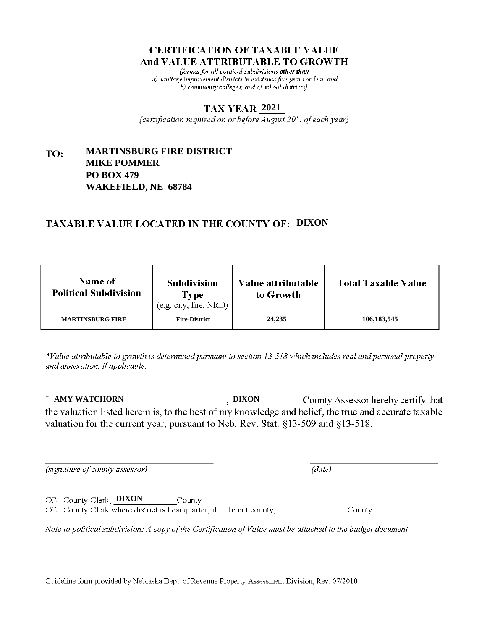fformat for all political subdivisions other than a) sanitary improvement districts in existence five years or less, and b) community colleges, and c) school districts}

#### **2021**

{certification required on or before  $\overline{August}$   $20<sup>th</sup>$ , of each year}

#### **MARTINSBURG FIRE DISTRICT** TO: **MIKE POMMER PO BOX 479 WAKEFIELD, NE 68784**

# **TAXABLE VALUE LOCATED IN THE COUNTY OF: DIXON**

| <b>Name of</b><br><b>Political Subdivision</b> | <b>Subdivision</b><br>Type<br>(e.g. city, fire, NRD) | Value attributable<br>to Growth | <b>Total Taxable Value</b> |
|------------------------------------------------|------------------------------------------------------|---------------------------------|----------------------------|
| <b>MARTINSBURG FIRE</b>                        | <b>Fire-District</b>                                 | 24,235                          | 106, 183, 545              |

\*Value attributable to growth is determined pursuant to section 13-518 which includes real and personal property and annexation, if applicable.

**AMY WATCHORN DIXON** County Assessor hereby certify that the valuation listed herein is, to the best of my knowledge and belief, the true and accurate taxable valuation for the current year, pursuant to Neb. Rev. Stat. §13-509 and §13-518.

 $(data)$ 

(signature of county assessor)

CC: County Clerk, **DIXON** County CC: County Clerk where district is headquarter, if different county, County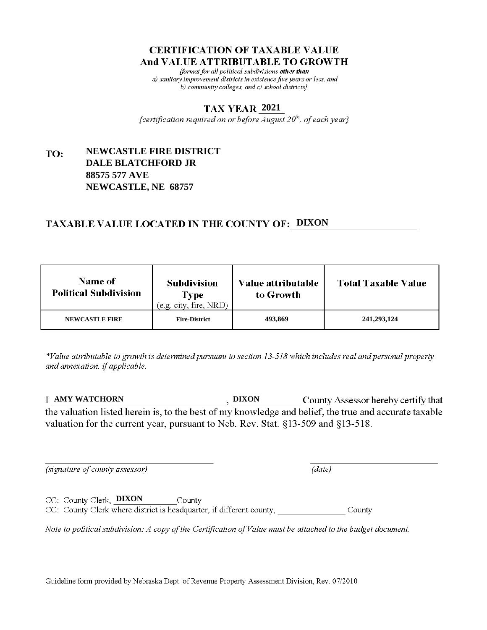fformat for all political subdivisions other than a) sanitary improvement districts in existence five years or less, and b) community colleges, and c) school districts}

#### **2021**

{certification required on or before  $\overline{August}$   $20<sup>th</sup>$ , of each year}

#### **NEWCASTLE FIRE DISTRICT** TO: **DALE BLATCHFORD JR 88575 577 AVE NEWCASTLE, NE 68757**

# **TAXABLE VALUE LOCATED IN THE COUNTY OF: DIXON**

| Name of<br><b>Political Subdivision</b> | <b>Subdivision</b><br>Type<br>(e.g. city, fire, NRD) | <b>Value attributable</b><br>to Growth | <b>Total Taxable Value</b> |
|-----------------------------------------|------------------------------------------------------|----------------------------------------|----------------------------|
| <b>NEWCASTLE FIRE</b>                   | <b>Fire-District</b>                                 | 493,869                                | 241,293,124                |

\*Value attributable to growth is determined pursuant to section 13-518 which includes real and personal property and annexation, if applicable.

**AMY WATCHORN DIXON** County Assessor hereby certify that the valuation listed herein is, to the best of my knowledge and belief, the true and accurate taxable valuation for the current year, pursuant to Neb. Rev. Stat. §13-509 and §13-518.

 $(data)$ 

(signature of county assessor)

CC: County Clerk, **DIXON** County CC: County Clerk where district is headquarter, if different county, County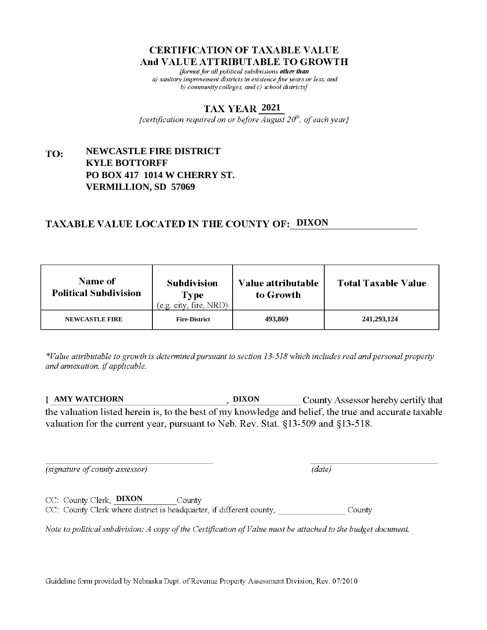fformat for all political subdivisions other than a) sanitary improvement districts in existence five years or less, and b) community colleges, and c) school districts}

#### **2021**

{certification required on or before  $\overline{August}$   $20<sup>th</sup>$ , of each year}

#### **NEWCASTLE FIRE DISTRICT** TO: **KYLE BOTTORFF PO BOX 417 1014 W CHERRY ST. VERMILLION, SD 57069**

## **TAXABLE VALUE LOCATED IN THE COUNTY OF: DIXON**

| <b>Name of</b><br><b>Political Subdivision</b> | <b>Subdivision</b><br>Type<br>(e.g. city, fire, NRD) | Value attributable<br>to Growth | <b>Total Taxable Value</b> |
|------------------------------------------------|------------------------------------------------------|---------------------------------|----------------------------|
| <b>NEWCASTLE FIRE</b>                          | <b>Fire-District</b>                                 | 493,869                         | 241,293,124                |

\*Value attributable to growth is determined pursuant to section 13-518 which includes real and personal property and annexation, if applicable.

**AMY WATCHORN DIXON** County Assessor hereby certify that the valuation listed herein is, to the best of my knowledge and belief, the true and accurate taxable valuation for the current year, pursuant to Neb. Rev. Stat. §13-509 and §13-518.

(signature of county assessor)

 $(data)$ 

CC: County Clerk, **DIXON** County CC: County Clerk where district is headquarter, if different county, County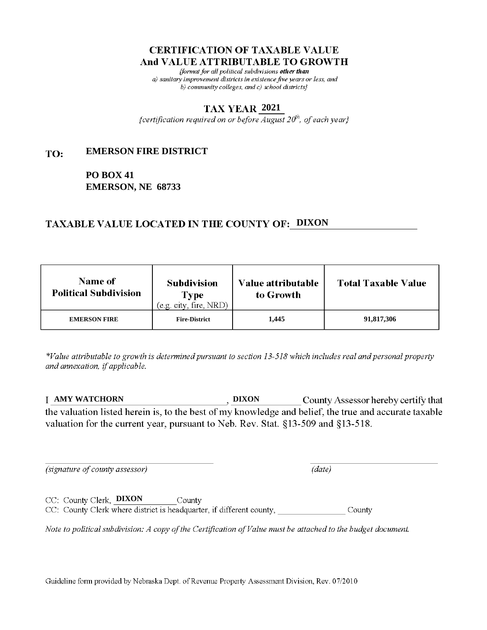fformat for all political subdivisions other than a) sanitary improvement districts in existence five years or less, and b) community colleges, and c) school districts $\}$ 

#### **2021**

{certification required on or before  $\overline{August}$   $20<sup>th</sup>$ , of each year}

#### **EMERSON FIRE DISTRICT** TO:

**PO BOX 41 EMERSON, NE 68733**

# **TAXABLE VALUE LOCATED IN THE COUNTY OF: DIXON**

| <b>Name of</b><br><b>Political Subdivision</b> | <b>Subdivision</b><br>Type<br>(e.g. city, fire, NRD) | Value attributable<br>to Growth | <b>Total Taxable Value</b> |
|------------------------------------------------|------------------------------------------------------|---------------------------------|----------------------------|
| <b>EMERSON FIRE</b>                            | <b>Fire-District</b>                                 | 1,445                           | 91,817,306                 |

\*Value attributable to growth is determined pursuant to section 13-518 which includes real and personal property and annexation, if applicable.

**AMY WATCHORN DIXON** County Assessor hereby certify that the valuation listed herein is, to the best of my knowledge and belief, the true and accurate taxable valuation for the current year, pursuant to Neb. Rev. Stat. §13-509 and §13-518.

 $(data)$ 

(signature of county assessor)

CC: County Clerk, DIXON County

CC: County Clerk where district is headquarter, if different county, County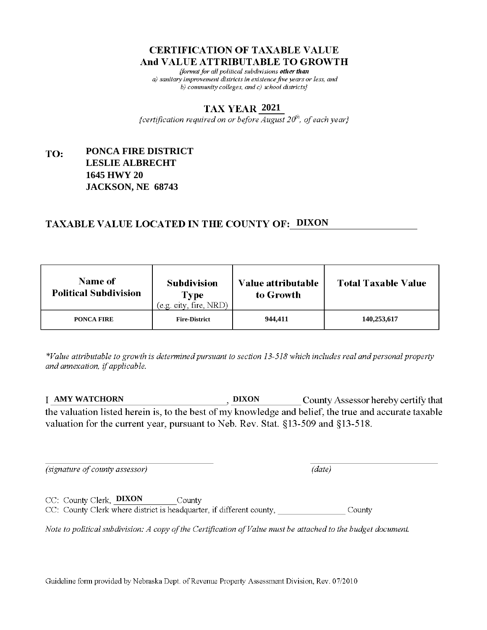fformat for all political subdivisions other than a) sanitary improvement districts in existence five years or less, and b) community colleges, and c) school districts $\}$ 

#### **2021**

{certification required on or before  $\overline{August}$   $20<sup>th</sup>$ , of each year}

#### **PONCA FIRE DISTRICT** TO: **LESLIE ALBRECHT 1645 HWY 20 JACKSON, NE 68743**

# **TAXABLE VALUE LOCATED IN THE COUNTY OF: DIXON**

| <b>Name of</b><br><b>Political Subdivision</b> | <b>Subdivision</b><br>Type<br>(e.g. city, fire, NRD) | Value attributable<br>to Growth | <b>Total Taxable Value</b> |
|------------------------------------------------|------------------------------------------------------|---------------------------------|----------------------------|
| PONCA FIRE                                     | <b>Fire-District</b>                                 | 944,411                         | 140,253,617                |

\*Value attributable to growth is determined pursuant to section 13-518 which includes real and personal property and annexation, if applicable.

**AMY WATCHORN DIXON** County Assessor hereby certify that the valuation listed herein is, to the best of my knowledge and belief, the true and accurate taxable valuation for the current year, pursuant to Neb. Rev. Stat. §13-509 and §13-518.

 $(data)$ 

(signature of county assessor)

CC: County Clerk, **DIXON** County CC: County Clerk where district is headquarter, if different county, County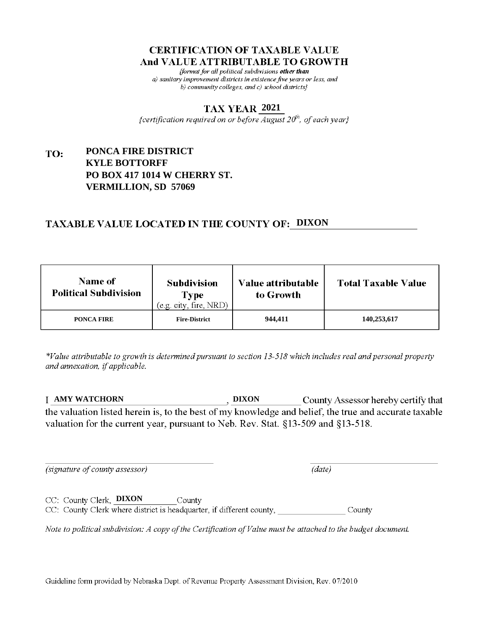fformat for all political subdivisions other than a) sanitary improvement districts in existence five years or less, and b) community colleges, and c) school districts}

#### **2021**

{certification required on or before  $\overline{August}$   $20<sup>th</sup>$ , of each year}

#### **PONCA FIRE DISTRICT** TO: **KYLE BOTTORFF PO BOX 417 1014 W CHERRY ST. VERMILLION, SD 57069**

## **TAXABLE VALUE LOCATED IN THE COUNTY OF: DIXON**

| <b>Name of</b><br><b>Political Subdivision</b> | <b>Subdivision</b><br><b>Type</b><br>(e.g. city, fire, NRD) | Value attributable<br>to Growth | <b>Total Taxable Value</b> |
|------------------------------------------------|-------------------------------------------------------------|---------------------------------|----------------------------|
| PONCA FIRE                                     | <b>Fire-District</b>                                        | 944.411                         | 140,253,617                |

\*Value attributable to growth is determined pursuant to section 13-518 which includes real and personal property and annexation, if applicable.

**AMY WATCHORN DIXON** County Assessor hereby certify that the valuation listed herein is, to the best of my knowledge and belief, the true and accurate taxable valuation for the current year, pursuant to Neb. Rev. Stat. §13-509 and §13-518.

(signature of county assessor)

CC: County Clerk, DIXON

 $(data)$ 

CC: County Clerk where district is headquarter, if different county, County

County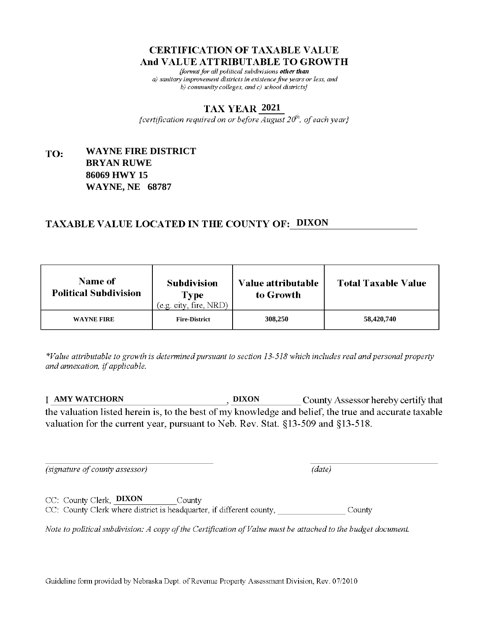fformat for all political subdivisions other than a) sanitary improvement districts in existence five years or less, and b) community colleges, and c) school districts $\}$ 

#### **2021**

{certification required on or before  $\overline{August}$   $20<sup>th</sup>$ , of each year}

#### **WAYNE FIRE DISTRICT** TO: **BRYAN RUWE 86069 HWY 15 WAYNE, NE 68787**

## **TAXABLE VALUE LOCATED IN THE COUNTY OF: DIXON**

| <b>Name of</b><br><b>Political Subdivision</b> | <b>Subdivision</b><br>Type<br>(e.g. city, fire, NRD) | Value attributable<br>to Growth | <b>Total Taxable Value</b> |
|------------------------------------------------|------------------------------------------------------|---------------------------------|----------------------------|
| <b>WAYNE FIRE</b>                              | <b>Fire-District</b>                                 | 308,250                         | 58,420,740                 |

\*Value attributable to growth is determined pursuant to section 13-518 which includes real and personal property and annexation, if applicable.

**AMY WATCHORN DIXON** County Assessor hereby certify that the valuation listed herein is, to the best of my knowledge and belief, the true and accurate taxable valuation for the current year, pursuant to Neb. Rev. Stat. §13-509 and §13-518.

 $(data)$ 

(signature of county assessor)

CC: County Clerk, DIXON County CC: County Clerk where district is headquarter, if different county, County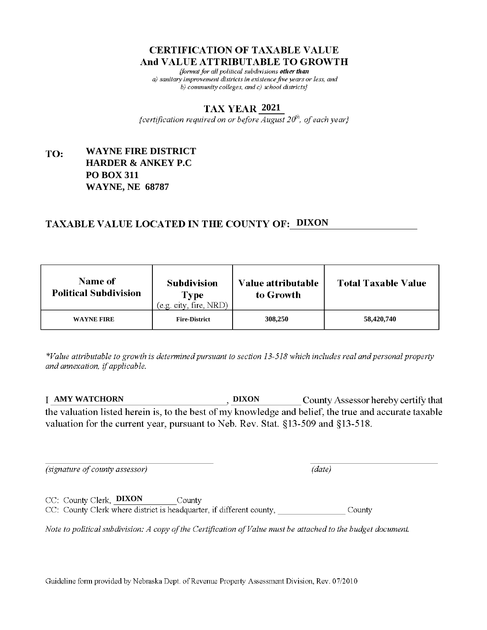fformat for all political subdivisions other than a) sanitary improvement districts in existence five years or less, and b) community colleges, and c) school districts $\}$ 

#### **2021**

{certification required on or before  $\overline{August}$   $20<sup>th</sup>$ , of each year}

#### **WAYNE FIRE DISTRICT** TO: **HARDER & ANKEY P.C PO BOX 311 WAYNE, NE 68787**

# **TAXABLE VALUE LOCATED IN THE COUNTY OF: DIXON**

| <b>Name of</b><br><b>Political Subdivision</b> | <b>Subdivision</b><br><b>Type</b><br>(e.g. city, fire, NRD) | Value attributable<br>to Growth | <b>Total Taxable Value</b> |
|------------------------------------------------|-------------------------------------------------------------|---------------------------------|----------------------------|
| <b>WAYNE FIRE</b>                              | <b>Fire-District</b>                                        | 308,250                         | 58,420,740                 |

\*Value attributable to growth is determined pursuant to section 13-518 which includes real and personal property and annexation, if applicable.

**AMY WATCHORN DIXON** County Assessor hereby certify that the valuation listed herein is, to the best of my knowledge and belief, the true and accurate taxable valuation for the current year, pursuant to Neb. Rev. Stat. §13-509 and §13-518.

(signature of county assessor)

CC: County Clerk, DIXON

 $(data)$ 

CC: County Clerk where district is headquarter, if different county, County

County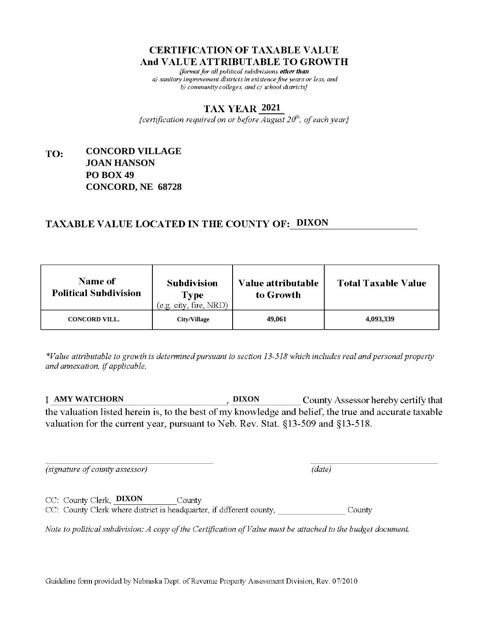fformat for all political subdivisions other than a) sanitary improvement districts in existence five years or less, and b) community colleges, and c) school districts $\}$ 

#### **2021**

{certification required on or before  $\overline{August}$   $20<sup>th</sup>$ , of each year}

#### **CONCORD VILLAGE** TO: **JOAN HANSON PO BOX 49 CONCORD, NE 68728**

# **TAXABLE VALUE LOCATED IN THE COUNTY OF: DIXON**

| <b>Name of</b><br><b>Political Subdivision</b> | <b>Subdivision</b><br><b>Type</b><br>(e.g. city, fire, NRD) | Value attributable<br>to Growth | <b>Total Taxable Value</b> |
|------------------------------------------------|-------------------------------------------------------------|---------------------------------|----------------------------|
| <b>CONCORD VILL.</b>                           | City/Village                                                | 49,061                          | 4,093,339                  |

\*Value attributable to growth is determined pursuant to section 13-518 which includes real and personal property and annexation, if applicable.

**AMY WATCHORN DIXON** County Assessor hereby certify that the valuation listed herein is, to the best of my knowledge and belief, the true and accurate taxable valuation for the current year, pursuant to Neb. Rev. Stat. §13-509 and §13-518.

 $(data)$ 

(signature of county assessor)

CC: County Clerk, DIXON County

CC: County Clerk where district is headquarter, if different county, County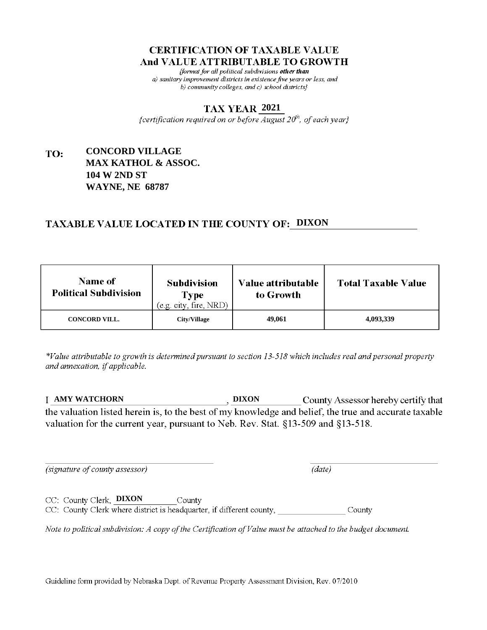fformat for all political subdivisions other than a) sanitary improvement districts in existence five years or less, and b) community colleges, and c) school districts $\}$ 

### **2021**

{certification required on or before  $\overline{August}$   $20<sup>th</sup>$ , of each year}

### **CONCORD VILLAGE** TO: **MAX KATHOL & ASSOC. 104 W 2ND ST WAYNE, NE 68787**

## **TAXABLE VALUE LOCATED IN THE COUNTY OF: DIXON**

| <b>Name of</b><br><b>Political Subdivision</b> | <b>Subdivision</b><br>Type<br>(e.g. city, fire, NRD) | Value attributable<br>to Growth | <b>Total Taxable Value</b> |
|------------------------------------------------|------------------------------------------------------|---------------------------------|----------------------------|
| <b>CONCORD VILL.</b>                           | City/Village                                         | 49,061                          | 4,093,339                  |

\*Value attributable to growth is determined pursuant to section 13-518 which includes real and personal property and annexation, if applicable.

**AMY WATCHORN DIXON** County Assessor hereby certify that the valuation listed herein is, to the best of my knowledge and belief, the true and accurate taxable valuation for the current year, pursuant to Neb. Rev. Stat. §13-509 and §13-518.

(signature of county assessor)

 $(data)$ 

CC: County Clerk, **DIXON** County CC: County Clerk where district is headquarter, if different county, County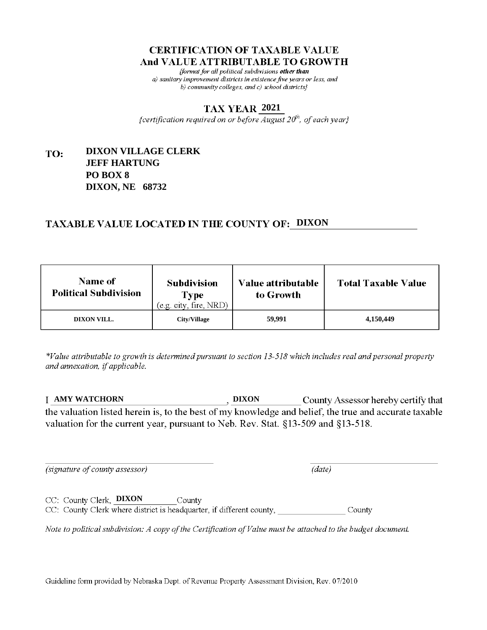fformat for all political subdivisions other than a) sanitary improvement districts in existence five years or less, and b) community colleges, and c) school districts $\}$ 

### **2021**

{certification required on or before  $\overline{August}$   $20<sup>th</sup>$ , of each year}

### **DIXON VILLAGE CLERK** TO: **JEFF HARTUNG PO BOX 8 DIXON, NE 68732**

## **TAXABLE VALUE LOCATED IN THE COUNTY OF: DIXON**

| <b>Name of</b><br><b>Political Subdivision</b> | <b>Subdivision</b><br>Type<br>(e.g. city, fire, NRD) | Value attributable<br>to Growth | <b>Total Taxable Value</b> |
|------------------------------------------------|------------------------------------------------------|---------------------------------|----------------------------|
| DIXON VILL.                                    | <b>City/Village</b>                                  | 59,991                          | 4,150,449                  |

\*Value attributable to growth is determined pursuant to section 13-518 which includes real and personal property and annexation, if applicable.

**AMY WATCHORN DIXON** County Assessor hereby certify that the valuation listed herein is, to the best of my knowledge and belief, the true and accurate taxable valuation for the current year, pursuant to Neb. Rev. Stat. §13-509 and §13-518.

 $(data)$ 

(signature of county assessor)

CC: County Clerk, **DIXON** County CC: County Clerk where district is headquarter, if different county, County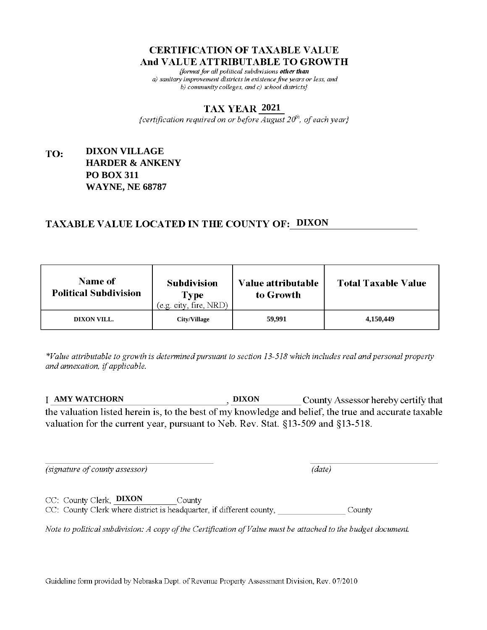fformat for all political subdivisions other than a) sanitary improvement districts in existence five years or less, and b) community colleges, and c) school districts $\}$ 

### **2021**

{certification required on or before  $\overline{August}$   $20<sup>th</sup>$ , of each year}

### **DIXON VILLAGE** TO: **HARDER & ANKENY PO BOX 311 WAYNE, NE 68787**

## **TAXABLE VALUE LOCATED IN THE COUNTY OF: DIXON**

| <b>Name of</b><br><b>Political Subdivision</b> | <b>Subdivision</b><br><b>Type</b><br>(e.g. city, fire, NRD) | Value attributable<br>to Growth | <b>Total Taxable Value</b> |
|------------------------------------------------|-------------------------------------------------------------|---------------------------------|----------------------------|
| DIXON VILL.                                    | <b>City/Village</b>                                         | 59,991                          | 4,150,449                  |

\*Value attributable to growth is determined pursuant to section 13-518 which includes real and personal property and annexation, if applicable.

**AMY WATCHORN DIXON** County Assessor hereby certify that the valuation listed herein is, to the best of my knowledge and belief, the true and accurate taxable valuation for the current year, pursuant to Neb. Rev. Stat. §13-509 and §13-518.

 $(data)$ 

(signature of county assessor)

CC: County Clerk, DIXON County CC: County Clerk where district is headquarter, if different county, County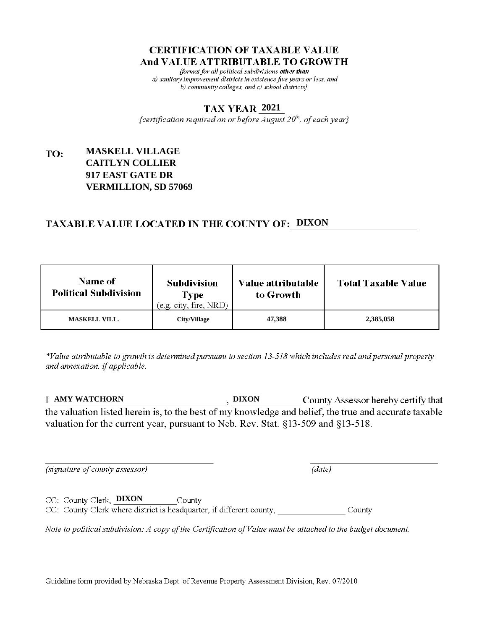fformat for all political subdivisions other than a) sanitary improvement districts in existence five years or less, and b) community colleges, and c) school districts}

### **2021**

{certification required on or before  $\overline{August}$   $20<sup>th</sup>$ , of each year}

### **MASKELL VILLAGE** TO: **CAITLYN COLLIER 917 EAST GATE DR VERMILLION, SD 57069**

## **TAXABLE VALUE LOCATED IN THE COUNTY OF: DIXON**

| <b>Name of</b><br><b>Political Subdivision</b> | <b>Subdivision</b><br><b>Type</b><br>(e.g. city, fire, NRD) | Value attributable<br>to Growth | <b>Total Taxable Value</b> |
|------------------------------------------------|-------------------------------------------------------------|---------------------------------|----------------------------|
| <b>MASKELL VILL.</b>                           | City/Village                                                | 47,388                          | 2,385,058                  |

\*Value attributable to growth is determined pursuant to section 13-518 which includes real and personal property and annexation, if applicable.

**AMY WATCHORN DIXON** County Assessor hereby certify that the valuation listed herein is, to the best of my knowledge and belief, the true and accurate taxable valuation for the current year, pursuant to Neb. Rev. Stat. §13-509 and §13-518.

(signature of county assessor)

 $(data)$ 

CC: County Clerk, DIXON County CC: County Clerk where district is headquarter, if different county, County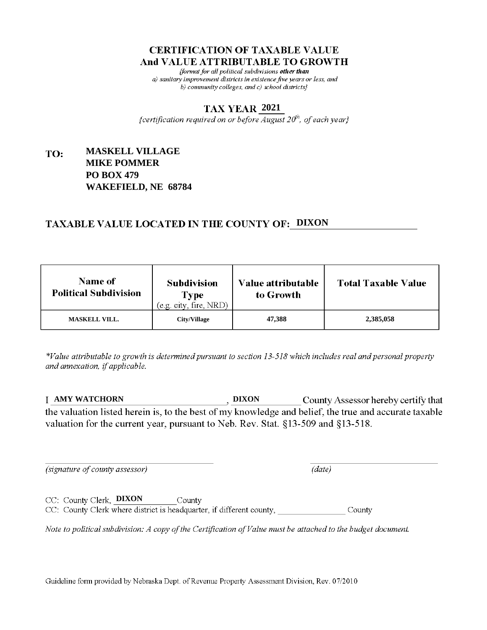fformat for all political subdivisions other than a) sanitary improvement districts in existence five years or less, and b) community colleges, and c) school districts $\}$ 

### **2021**

{certification required on or before  $\overline{August}$   $20<sup>th</sup>$ , of each year}

### **MASKELL VILLAGE** TO: **MIKE POMMER PO BOX 479 WAKEFIELD, NE 68784**

## **TAXABLE VALUE LOCATED IN THE COUNTY OF: DIXON**

| <b>Name of</b><br><b>Political Subdivision</b> | <b>Subdivision</b><br><b>Type</b><br>(e.g. city, fire, NRD) | Value attributable<br>to Growth | <b>Total Taxable Value</b> |
|------------------------------------------------|-------------------------------------------------------------|---------------------------------|----------------------------|
| <b>MASKELL VILL.</b>                           | City/Village                                                | 47,388                          | 2,385,058                  |

\*Value attributable to growth is determined pursuant to section 13-518 which includes real and personal property and annexation, if applicable.

**AMY WATCHORN DIXON** County Assessor hereby certify that the valuation listed herein is, to the best of my knowledge and belief, the true and accurate taxable valuation for the current year, pursuant to Neb. Rev. Stat. §13-509 and §13-518.

(signature of county assessor)

CC: County Clerk, **DIXON** 

 $(data)$ 

CC: County Clerk where district is headquarter, if different county, County

County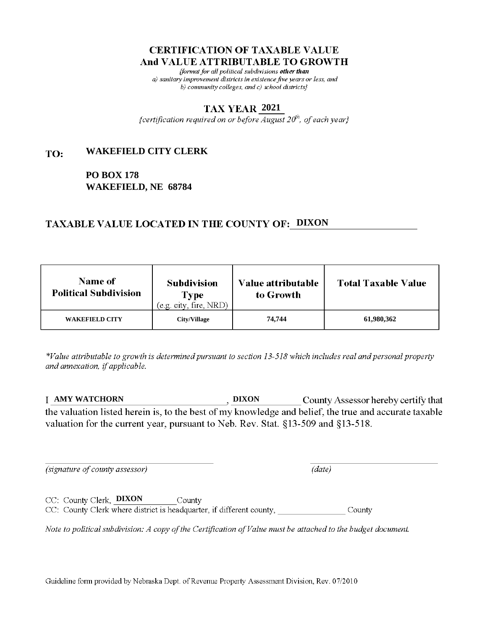fformat for all political subdivisions other than a) sanitary improvement districts in existence five years or less, and b) community colleges, and c) school districts $\}$ 

### **2021**

{certification required on or before  $\overline{August}$   $20<sup>th</sup>$ , of each year}

#### **WAKEFIELD CITY CLERK** TO:

**PO BOX 178 WAKEFIELD, NE 68784**

## **TAXABLE VALUE LOCATED IN THE COUNTY OF: DIXON**

| <b>Name of</b><br><b>Political Subdivision</b> | <b>Subdivision</b><br>Type<br>(e.g. city, fire, NRD) | Value attributable<br>to Growth | <b>Total Taxable Value</b> |
|------------------------------------------------|------------------------------------------------------|---------------------------------|----------------------------|
| <b>WAKEFIELD CITY</b>                          | City/Village                                         | 74,744                          | 61,980,362                 |

\*Value attributable to growth is determined pursuant to section 13-518 which includes real and personal property and annexation, if applicable.

**AMY WATCHORN DIXON** County Assessor hereby certify that the valuation listed herein is, to the best of my knowledge and belief, the true and accurate taxable valuation for the current year, pursuant to Neb. Rev. Stat. §13-509 and §13-518.

(signature of county assessor)

 $(data)$ 

CC: County Clerk, DIXON County CC: County Clerk where district is headquarter, if different county, County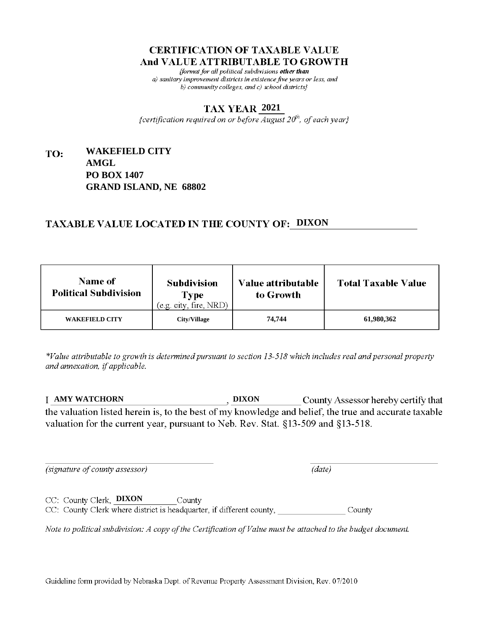fformat for all political subdivisions other than a) sanitary improvement districts in existence five years or less, and b) community colleges, and c) school districts $\}$ 

### **2021**

{certification required on or before  $\overline{August}$   $20<sup>th</sup>$ , of each year}

### **WAKEFIELD CITY** TO: **AMGL PO BOX 1407 GRAND ISLAND, NE 68802**

## **TAXABLE VALUE LOCATED IN THE COUNTY OF: DIXON**

| <b>Name of</b><br><b>Political Subdivision</b> | <b>Subdivision</b><br>Type<br>(e.g. city, fire, NRD) | Value attributable<br>to Growth | <b>Total Taxable Value</b> |
|------------------------------------------------|------------------------------------------------------|---------------------------------|----------------------------|
| <b>WAKEFIELD CITY</b>                          | <b>City/Village</b>                                  | 74,744                          | 61,980,362                 |

\*Value attributable to growth is determined pursuant to section 13-518 which includes real and personal property and annexation, if applicable.

**AMY WATCHORN DIXON** County Assessor hereby certify that the valuation listed herein is, to the best of my knowledge and belief, the true and accurate taxable valuation for the current year, pursuant to Neb. Rev. Stat. §13-509 and §13-518.

 $(data)$ 

(signature of county assessor)

CC: County Clerk, DIXON County CC: County Clerk where district is headquarter, if different county, County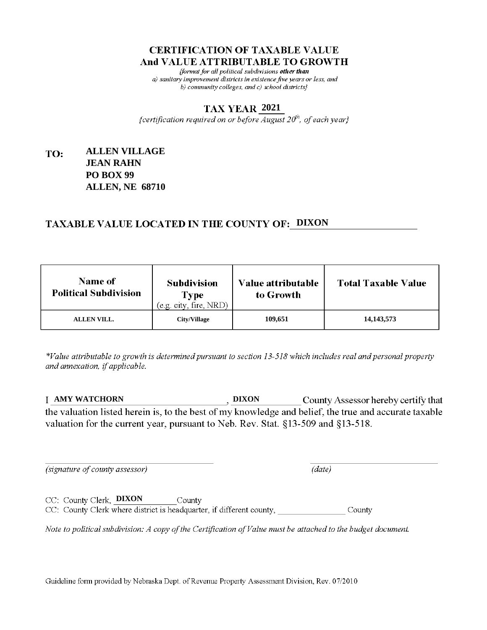fformat for all political subdivisions other than a) sanitary improvement districts in existence five years or less, and b) community colleges, and c) school districts $\}$ 

### **2021**

{certification required on or before  $\overline{August}$   $20<sup>th</sup>$ , of each year}

### **ALLEN VILLAGE** TO: **JEAN RAHN PO BOX 99 ALLEN, NE 68710**

## **TAXABLE VALUE LOCATED IN THE COUNTY OF: DIXON**

| <b>Name of</b><br><b>Political Subdivision</b> | <b>Subdivision</b><br>Type<br>(e.g. city, fire, NRD) | Value attributable<br>to Growth | <b>Total Taxable Value</b> |
|------------------------------------------------|------------------------------------------------------|---------------------------------|----------------------------|
| <b>ALLEN VILL.</b>                             | <b>City/Village</b>                                  | 109,651                         | 14, 143, 573               |

\*Value attributable to growth is determined pursuant to section 13-518 which includes real and personal property and annexation, if applicable.

**AMY WATCHORN DIXON** County Assessor hereby certify that the valuation listed herein is, to the best of my knowledge and belief, the true and accurate taxable valuation for the current year, pursuant to Neb. Rev. Stat. §13-509 and §13-518.

 $(data)$ 

(signature of county assessor)

CC: County Clerk, DIXON County CC: County Clerk where district is headquarter, if different county, County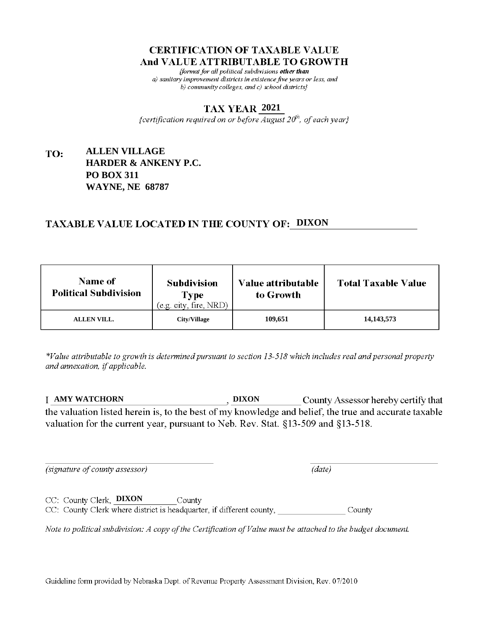fformat for all political subdivisions other than a) sanitary improvement districts in existence five years or less, and b) community colleges, and c) school districts $\}$ 

### **2021**

{certification required on or before  $\overline{August}$   $20<sup>th</sup>$ , of each year}

### **ALLEN VILLAGE** TO: **HARDER & ANKENY P.C. PO BOX 311 WAYNE, NE 68787**

## **TAXABLE VALUE LOCATED IN THE COUNTY OF: DIXON**

| <b>Name of</b><br><b>Political Subdivision</b> | <b>Subdivision</b><br>Type<br>(e.g. city, fire, NRD) | Value attributable<br>to Growth | <b>Total Taxable Value</b> |
|------------------------------------------------|------------------------------------------------------|---------------------------------|----------------------------|
| <b>ALLEN VILL.</b>                             | <b>City/Village</b>                                  | 109,651                         | 14, 143, 573               |

\*Value attributable to growth is determined pursuant to section 13-518 which includes real and personal property and annexation, if applicable.

**AMY WATCHORN DIXON** County Assessor hereby certify that the valuation listed herein is, to the best of my knowledge and belief, the true and accurate taxable valuation for the current year, pursuant to Neb. Rev. Stat. §13-509 and §13-518.

(signature of county assessor)

 $(data)$ 

CC: County Clerk, DIXON County CC: County Clerk where district is headquarter, if different county, County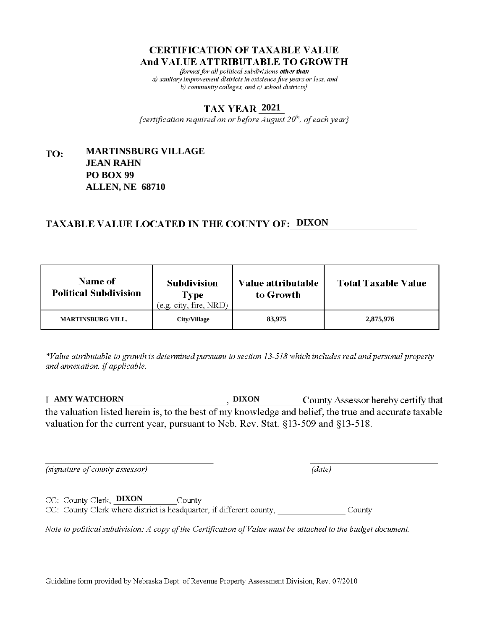fformat for all political subdivisions other than a) sanitary improvement districts in existence five years or less, and b) community colleges, and c) school districts $\}$ 

### **2021**

{certification required on or before  $\overline{August}$   $20<sup>th</sup>$ , of each year}

### **MARTINSBURG VILLAGE** TO: **JEAN RAHN PO BOX 99 ALLEN, NE 68710**

## **TAXABLE VALUE LOCATED IN THE COUNTY OF: DIXON**

| <b>Name of</b><br><b>Political Subdivision</b> | <b>Subdivision</b><br><b>Type</b><br>(e.g. city, fire, NRD) | Value attributable<br>to Growth | <b>Total Taxable Value</b> |
|------------------------------------------------|-------------------------------------------------------------|---------------------------------|----------------------------|
| <b>MARTINSBURG VILL.</b>                       | City/Village                                                | 83,975                          | 2,875,976                  |

\*Value attributable to growth is determined pursuant to section 13-518 which includes real and personal property and annexation, if applicable.

**AMY WATCHORN DIXON** County Assessor hereby certify that the valuation listed herein is, to the best of my knowledge and belief, the true and accurate taxable valuation for the current year, pursuant to Neb. Rev. Stat. §13-509 and §13-518.

(signature of county assessor)

 $(data)$ 

CC: County Clerk, **DIXON** County CC: County Clerk where district is headquarter, if different county, County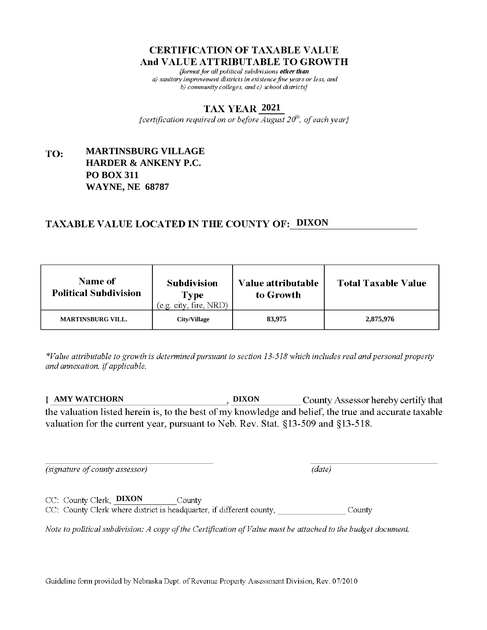fformat for all political subdivisions other than a) sanitary improvement districts in existence five years or less, and b) community colleges, and c) school districts $\}$ 

### **2021**

{certification required on or before  $\overline{August}$   $20<sup>th</sup>$ , of each year}

### **MARTINSBURG VILLAGE** TO: **HARDER & ANKENY P.C. PO BOX 311 WAYNE, NE 68787**

## **TAXABLE VALUE LOCATED IN THE COUNTY OF: DIXON**

| <b>Name of</b><br><b>Political Subdivision</b> | <b>Subdivision</b><br><b>Type</b><br>(e.g. city, fire, NRD) | Value attributable<br>to Growth | <b>Total Taxable Value</b> |
|------------------------------------------------|-------------------------------------------------------------|---------------------------------|----------------------------|
| <b>MARTINSBURG VILL.</b>                       | City/Village                                                | 83,975                          | 2,875,976                  |

\*Value attributable to growth is determined pursuant to section 13-518 which includes real and personal property and annexation, if applicable.

**AMY WATCHORN DIXON** County Assessor hereby certify that the valuation listed herein is, to the best of my knowledge and belief, the true and accurate taxable valuation for the current year, pursuant to Neb. Rev. Stat. §13-509 and §13-518.

(signature of county assessor)

 $(data)$ 

CC: County Clerk, **DIXON** County CC: County Clerk where district is headquarter, if different county, County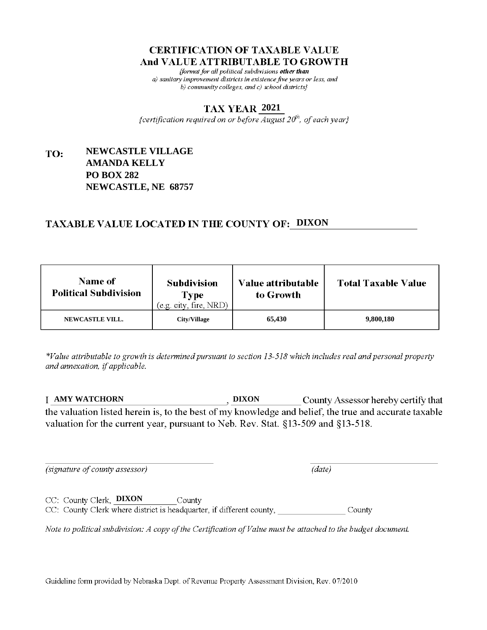fformat for all political subdivisions other than a) sanitary improvement districts in existence five years or less, and b) community colleges, and c) school districts $\}$ 

### **2021**

{certification required on or before  $\overline{August}$   $20<sup>th</sup>$ , of each year}

### **NEWCASTLE VILLAGE** TO: **AMANDA KELLY PO BOX 282 NEWCASTLE, NE 68757**

## **TAXABLE VALUE LOCATED IN THE COUNTY OF: DIXON**

| <b>Name of</b><br><b>Political Subdivision</b> | <b>Subdivision</b><br><b>Type</b><br>(e.g. city, fire, NRD) | <b>Value attributable</b><br>to Growth | <b>Total Taxable Value</b> |
|------------------------------------------------|-------------------------------------------------------------|----------------------------------------|----------------------------|
| <b>NEWCASTLE VILL.</b>                         | City/Village                                                | 65,430                                 | 9,800,180                  |

\*Value attributable to growth is determined pursuant to section 13-518 which includes real and personal property and annexation, if applicable.

**AMY WATCHORN DIXON** County Assessor hereby certify that the valuation listed herein is, to the best of my knowledge and belief, the true and accurate taxable valuation for the current year, pursuant to Neb. Rev. Stat. §13-509 and §13-518.

(signature of county assessor)

 $(data)$ 

CC: County Clerk, **DIXON** County CC: County Clerk where district is headquarter, if different county, County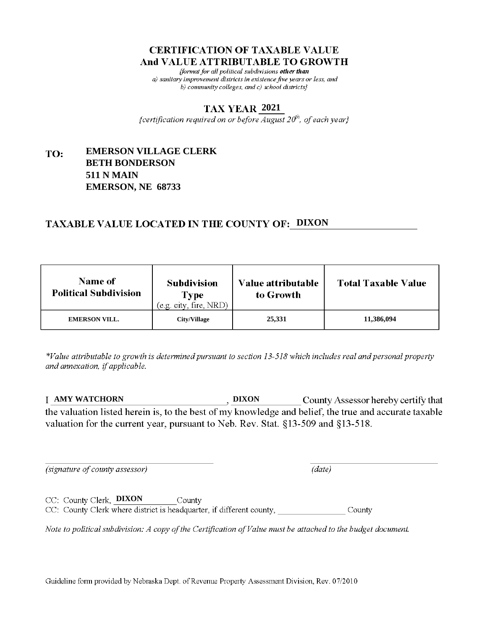fformat for all political subdivisions other than a) sanitary improvement districts in existence five years or less, and b) community colleges, and c) school districts}

### **2021**

{certification required on or before  $\overline{August}$   $20<sup>th</sup>$ , of each year}

### **EMERSON VILLAGE CLERK** TO: **BETH BONDERSON 511 N MAIN EMERSON, NE 68733**

## **TAXABLE VALUE LOCATED IN THE COUNTY OF: DIXON**

| <b>Name of</b><br><b>Political Subdivision</b> | <b>Subdivision</b><br>Type<br>(e.g. city, fire, NRD) | <b>Value attributable</b><br>to Growth | <b>Total Taxable Value</b> |
|------------------------------------------------|------------------------------------------------------|----------------------------------------|----------------------------|
| <b>EMERSON VILL.</b>                           | City/Village                                         | 25,331                                 | 11,386,094                 |

\*Value attributable to growth is determined pursuant to section 13-518 which includes real and personal property and annexation, if applicable.

**AMY WATCHORN DIXON** County Assessor hereby certify that the valuation listed herein is, to the best of my knowledge and belief, the true and accurate taxable valuation for the current year, pursuant to Neb. Rev. Stat. §13-509 and §13-518.

 $(data)$ 

(signature of county assessor)

CC: County Clerk, **DIXON** County CC: County Clerk where district is headquarter, if different county, County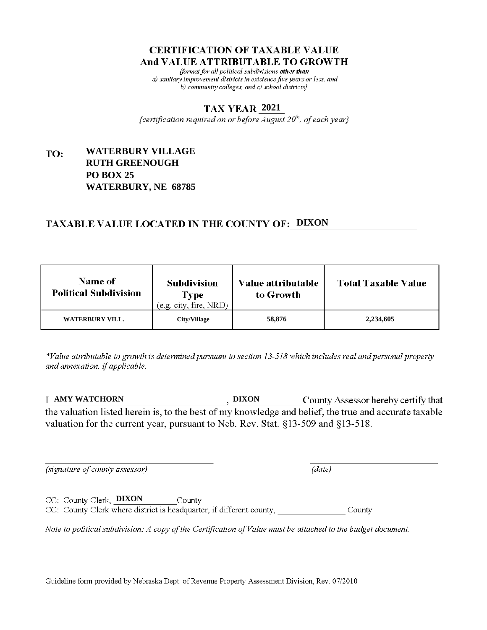fformat for all political subdivisions other than a) sanitary improvement districts in existence five years or less, and b) community colleges, and c) school districts $\}$ 

### **2021**

{certification required on or before  $\overline{August}$   $20<sup>th</sup>$ , of each year}

### **WATERBURY VILLAGE** TO: **RUTH GREENOUGH PO BOX 25 WATERBURY, NE 68785**

## **TAXABLE VALUE LOCATED IN THE COUNTY OF: DIXON**

| <b>Name of</b><br><b>Political Subdivision</b> | <b>Subdivision</b><br><b>Type</b><br>(e.g. city, fire, NRD) | Value attributable<br>to Growth | <b>Total Taxable Value</b> |
|------------------------------------------------|-------------------------------------------------------------|---------------------------------|----------------------------|
| WATERBURY VILL.                                | City/Village                                                | 58,876                          | 2,234,605                  |

\*Value attributable to growth is determined pursuant to section 13-518 which includes real and personal property and annexation, if applicable.

**AMY WATCHORN DIXON** County Assessor hereby certify that the valuation listed herein is, to the best of my knowledge and belief, the true and accurate taxable valuation for the current year, pursuant to Neb. Rev. Stat. §13-509 and §13-518.

 $(data)$ 

(signature of county assessor)

CC: County Clerk, DIXON County

CC: County Clerk where district is headquarter, if different county, County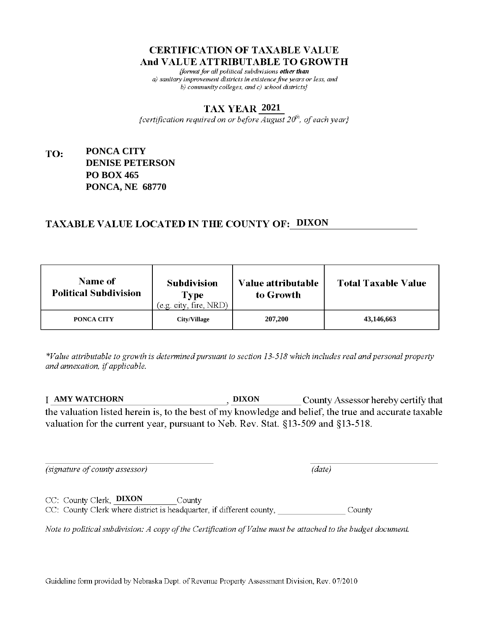fformat for all political subdivisions other than a) sanitary improvement districts in existence five years or less, and b) community colleges, and c) school districts $\}$ 

### **2021**

{certification required on or before  $\overline{August}$   $20<sup>th</sup>$ , of each year}

### **PONCA CITY** TO: **DENISE PETERSON PO BOX 465 PONCA, NE 68770**

## **TAXABLE VALUE LOCATED IN THE COUNTY OF: DIXON**

| <b>Name of</b><br><b>Political Subdivision</b> | <b>Subdivision</b><br>Type<br>(e.g. city, fire, NRD) | Value attributable<br>to Growth | <b>Total Taxable Value</b> |
|------------------------------------------------|------------------------------------------------------|---------------------------------|----------------------------|
| PONCA CITY                                     | <b>City/Village</b>                                  | 207,200                         | 43,146,663                 |

\*Value attributable to growth is determined pursuant to section 13-518 which includes real and personal property and annexation, if applicable.

**AMY WATCHORN DIXON** County Assessor hereby certify that the valuation listed herein is, to the best of my knowledge and belief, the true and accurate taxable valuation for the current year, pursuant to Neb. Rev. Stat. §13-509 and §13-518.

 $(data)$ 

(signature of county assessor)

CC: County Clerk, DIXON County CC: County Clerk where district is headquarter, if different county, County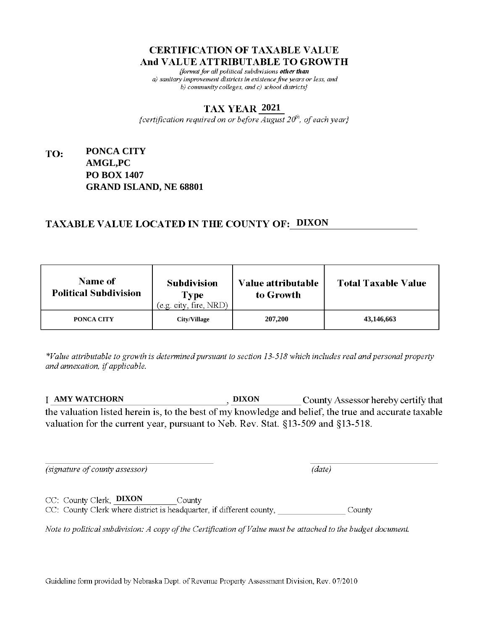fformat for all political subdivisions other than a) sanitary improvement districts in existence five years or less, and b) community colleges, and c) school districts}

### **2021**

{certification required on or before  $\overline{August}$   $20<sup>th</sup>$ , of each year}

### **PONCA CITY** TO: **AMGL,PC PO BOX 1407 GRAND ISLAND, NE 68801**

## **TAXABLE VALUE LOCATED IN THE COUNTY OF: DIXON**

| <b>Name of</b><br><b>Political Subdivision</b> | <b>Subdivision</b><br>Type<br>(e.g. city, fire, NRD) | Value attributable<br>to Growth | <b>Total Taxable Value</b> |
|------------------------------------------------|------------------------------------------------------|---------------------------------|----------------------------|
| PONCA CITY                                     | <b>City/Village</b>                                  | 207,200                         | 43,146,663                 |

\*Value attributable to growth is determined pursuant to section 13-518 which includes real and personal property and annexation, if applicable.

**AMY WATCHORN DIXON** County Assessor hereby certify that the valuation listed herein is, to the best of my knowledge and belief, the true and accurate taxable valuation for the current year, pursuant to Neb. Rev. Stat. §13-509 and §13-518.

 $(data)$ 

(signature of county assessor)

CC: County Clerk, DIXON County CC: County Clerk where district is headquarter, if different county, County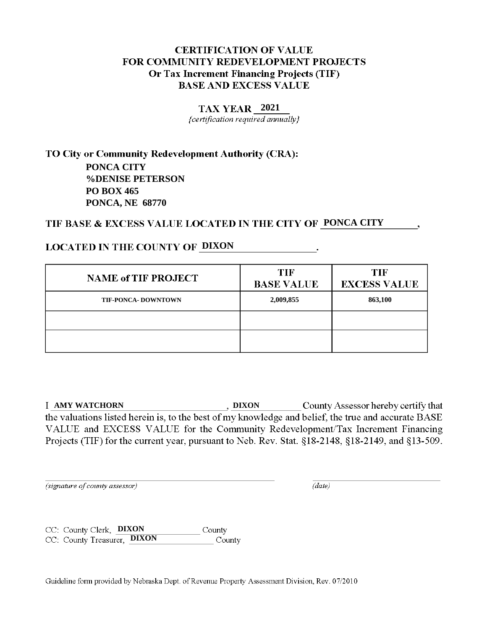### **2021**

{certification required annually}

TO City or Community Redevelopment Authority (CRA): **PONCA CITY %DENISE PETERSON PO BOX 465 PONCA, NE 68770**

## TIF BASE & EXCESS VALUE LOCATED IN THE CITY OF PONCA CITY

## **LOCATED IN THE COUNTY OF DIXON**

| <b>NAME of TIF PROJECT</b> | <b>TIF</b><br><b>BASE VALUE</b> | TIF<br><b>EXCESS VALUE</b> |
|----------------------------|---------------------------------|----------------------------|
| <b>TIF-PONCA- DOWNTOWN</b> | 2,009,855                       | 863,100                    |
|                            |                                 |                            |
|                            |                                 |                            |

**County Assessor hereby certify that**  $\qquad \qquad$ , **DIXON** County Assessor hereby certify that the valuations listed herein is, to the best of my knowledge and belief, the true and accurate BASE VALUE and EXCESS VALUE for the Community Redevelopment/Tax Increment Financing Projects (TIF) for the current year, pursuant to Neb. Rev. Stat. §18-2148, §18-2149, and §13-509.

(signature of county assessor)

 $(data)$ 

**County** CC: County Clerk, **DIXON** CC: County Treasurer, **DIXON** County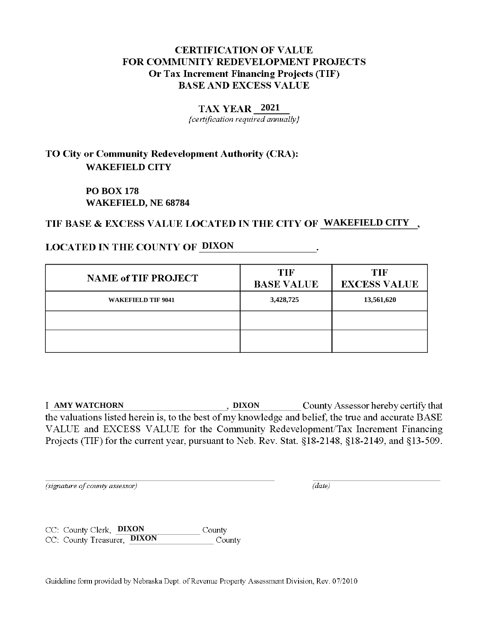### **2021**

{certification required annually}

# TO City or Community Redevelopment Authority (CRA): **WAKEFIELD CITY**

**PO BOX 178 WAKEFIELD, NE 68784**

## TIF BASE & EXCESS VALUE LOCATED IN THE CITY OF WAKEFIELD CITY,

## **LOCATED IN THE COUNTY OF DIXON**

| <b>NAME of TIF PROJECT</b> | <b>TIF</b><br><b>BASE VALUE</b> | <b>TIF</b><br><b>EXCESS VALUE</b> |
|----------------------------|---------------------------------|-----------------------------------|
| <b>WAKEFIELD TIF 9041</b>  | 3,428,725                       | 13,561,620                        |
|                            |                                 |                                   |
|                            |                                 |                                   |

**County Assessor hereby certify that**  $\qquad \qquad$ , **DIXON** County Assessor hereby certify that the valuations listed herein is, to the best of my knowledge and belief, the true and accurate BASE VALUE and EXCESS VALUE for the Community Redevelopment/Tax Increment Financing Projects (TIF) for the current year, pursuant to Neb. Rev. Stat. §18-2148, §18-2149, and §13-509.

(signature of county assessor)

 $(data)$ 

CC: County Clerk, **DIXON** County CC: County Treasurer, **DIXON** County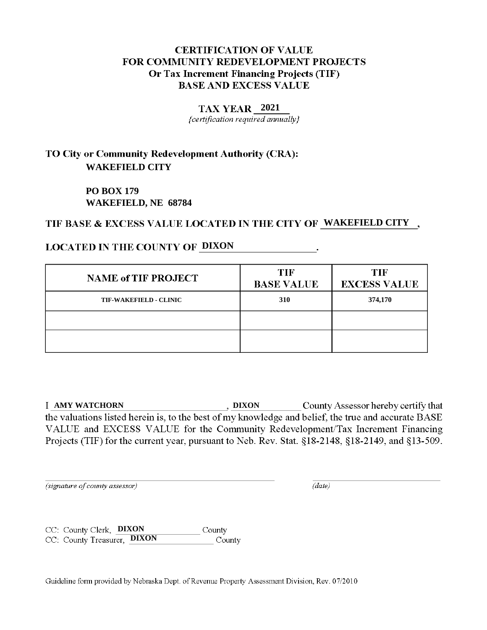### **2021**

{certification required annually}

# TO City or Community Redevelopment Authority (CRA): **WAKEFIELD CITY**

**PO BOX 179 WAKEFIELD, NE 68784**

## TIF BASE & EXCESS VALUE LOCATED IN THE CITY OF WAKEFIELD CITY,

## **LOCATED IN THE COUNTY OF DIXON**

| <b>NAME of TIF PROJECT</b>    | <b>TIF</b><br><b>BASE VALUE</b> | TIF<br><b>EXCESS VALUE</b> |
|-------------------------------|---------------------------------|----------------------------|
| <b>TIF-WAKEFIELD - CLINIC</b> | 310                             | 374,170                    |
|                               |                                 |                            |
|                               |                                 |                            |

**County Assessor hereby certify that**  $\qquad \qquad$ , **DIXON** County Assessor hereby certify that the valuations listed herein is, to the best of my knowledge and belief, the true and accurate BASE VALUE and EXCESS VALUE for the Community Redevelopment/Tax Increment Financing Projects (TIF) for the current year, pursuant to Neb. Rev. Stat. §18-2148, §18-2149, and §13-509.

(signature of county assessor)

 $(data)$ 

CC: County Clerk, **DIXON** County CC: County Treasurer, **DIXON** County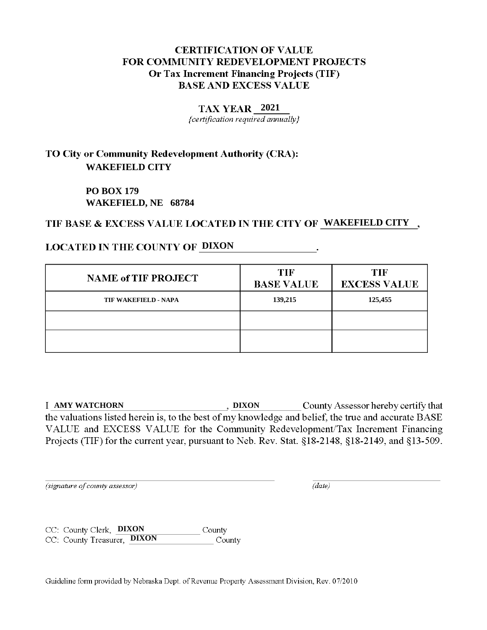### **2021**

{certification required annually}

# TO City or Community Redevelopment Authority (CRA): **WAKEFIELD CITY**

**PO BOX 179 WAKEFIELD, NE 68784**

## TIF BASE & EXCESS VALUE LOCATED IN THE CITY OF WAKEFIELD CITY,

## **LOCATED IN THE COUNTY OF DIXON**

| <b>NAME of TIF PROJECT</b>  | <b>TIF</b><br><b>BASE VALUE</b> | <b>TIF</b><br><b>EXCESS VALUE</b> |
|-----------------------------|---------------------------------|-----------------------------------|
| <b>TIF WAKEFIELD - NAPA</b> | 139,215                         | 125,455                           |
|                             |                                 |                                   |
|                             |                                 |                                   |

**County Assessor hereby certify that**  $\qquad \qquad$ , **DIXON** County Assessor hereby certify that the valuations listed herein is, to the best of my knowledge and belief, the true and accurate BASE VALUE and EXCESS VALUE for the Community Redevelopment/Tax Increment Financing Projects (TIF) for the current year, pursuant to Neb. Rev. Stat. §18-2148, §18-2149, and §13-509.

(signature of county assessor)

 $(data)$ 

CC: County Clerk, **DIXON** County CC: County Treasurer, **DIXON** County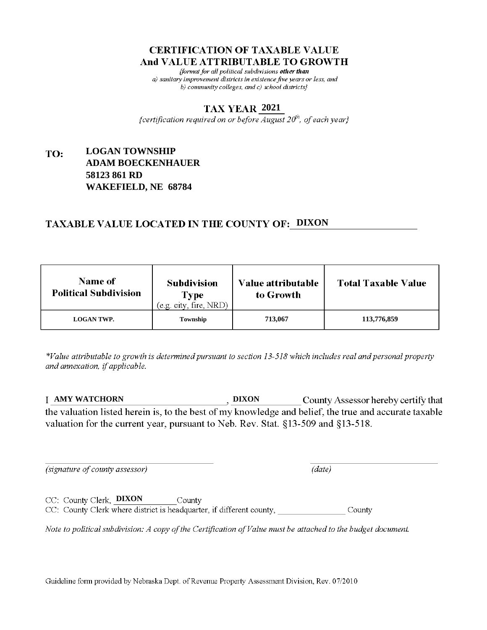fformat for all political subdivisions other than a) sanitary improvement districts in existence five years or less, and b) community colleges, and c) school districts}

### **2021**

{certification required on or before  $\overline{August}$   $20<sup>th</sup>$ , of each year}

### **LOGAN TOWNSHIP** TO: **ADAM BOECKENHAUER 58123 861 RD WAKEFIELD, NE 68784**

## **TAXABLE VALUE LOCATED IN THE COUNTY OF: DIXON**

| <b>Name of</b><br><b>Political Subdivision</b> | <b>Subdivision</b><br>Type<br>(e.g. city, fire, NRD) | Value attributable<br>to Growth | <b>Total Taxable Value</b> |
|------------------------------------------------|------------------------------------------------------|---------------------------------|----------------------------|
| <b>LOGAN TWP.</b>                              | Township                                             | 713,067                         | 113,776,859                |

\*Value attributable to growth is determined pursuant to section 13-518 which includes real and personal property and annexation, if applicable.

**AMY WATCHORN DIXON** County Assessor hereby certify that the valuation listed herein is, to the best of my knowledge and belief, the true and accurate taxable valuation for the current year, pursuant to Neb. Rev. Stat. §13-509 and §13-518.

(signature of county assessor)

 $(data)$ 

CC: County Clerk, DIXON County CC: County Clerk where district is headquarter, if different county, County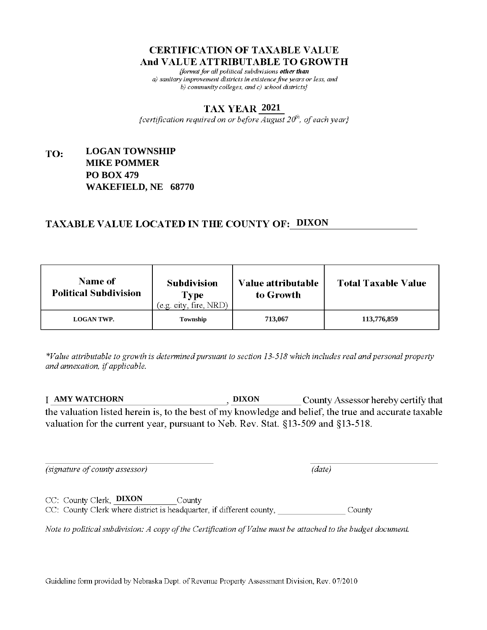fformat for all political subdivisions other than a) sanitary improvement districts in existence five years or less, and b) community colleges, and c) school districts $\}$ 

### **2021**

{certification required on or before  $\overline{August}$   $20<sup>th</sup>$ , of each year}

### **LOGAN TOWNSHIP** TO: **MIKE POMMER PO BOX 479 WAKEFIELD, NE 68770**

## **TAXABLE VALUE LOCATED IN THE COUNTY OF: DIXON**

| <b>Name of</b><br><b>Political Subdivision</b> | <b>Subdivision</b><br>Type<br>(e.g. city, fire, NRD) | Value attributable<br>to Growth | <b>Total Taxable Value</b> |
|------------------------------------------------|------------------------------------------------------|---------------------------------|----------------------------|
| <b>LOGAN TWP.</b>                              | Township                                             | 713,067                         | 113,776,859                |

\*Value attributable to growth is determined pursuant to section 13-518 which includes real and personal property and annexation, if applicable.

**AMY WATCHORN DIXON** County Assessor hereby certify that the valuation listed herein is, to the best of my knowledge and belief, the true and accurate taxable valuation for the current year, pursuant to Neb. Rev. Stat. §13-509 and §13-518.

(signature of county assessor)

 $(data)$ 

CC: County Clerk, **DIXON** County CC: County Clerk where district is headquarter, if different county, County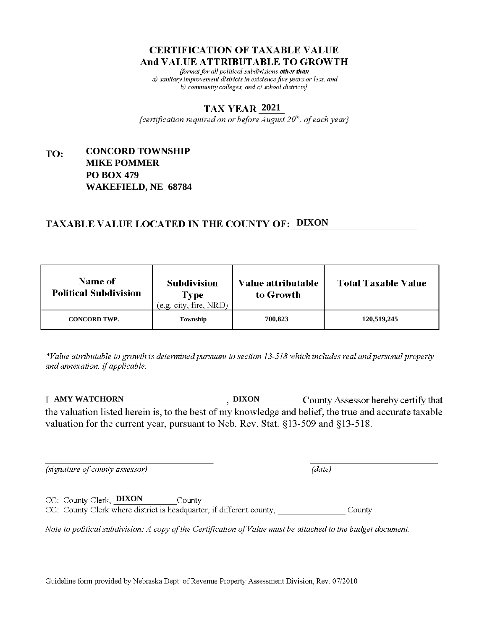fformat for all political subdivisions other than a) sanitary improvement districts in existence five years or less, and b) community colleges, and c) school districts $\}$ 

### **2021**

{certification required on or before  $\overline{August}$   $20<sup>th</sup>$ , of each year}

### **CONCORD TOWNSHIP** TO: **MIKE POMMER PO BOX 479 WAKEFIELD, NE 68784**

## **TAXABLE VALUE LOCATED IN THE COUNTY OF: DIXON**

| <b>Name of</b><br><b>Political Subdivision</b> | <b>Subdivision</b><br><b>Type</b><br>(e.g. city, fire, NRD) | Value attributable<br>to Growth | <b>Total Taxable Value</b> |
|------------------------------------------------|-------------------------------------------------------------|---------------------------------|----------------------------|
| <b>CONCORD TWP.</b>                            | Township                                                    | 700.823                         | 120,519,245                |

\*Value attributable to growth is determined pursuant to section 13-518 which includes real and personal property and annexation, if applicable.

**AMY WATCHORN DIXON** County Assessor hereby certify that the valuation listed herein is, to the best of my knowledge and belief, the true and accurate taxable valuation for the current year, pursuant to Neb. Rev. Stat. §13-509 and §13-518.

 $(data)$ 

(signature of county assessor)

CC: County Clerk, **DIXON** County

CC: County Clerk where district is headquarter, if different county, County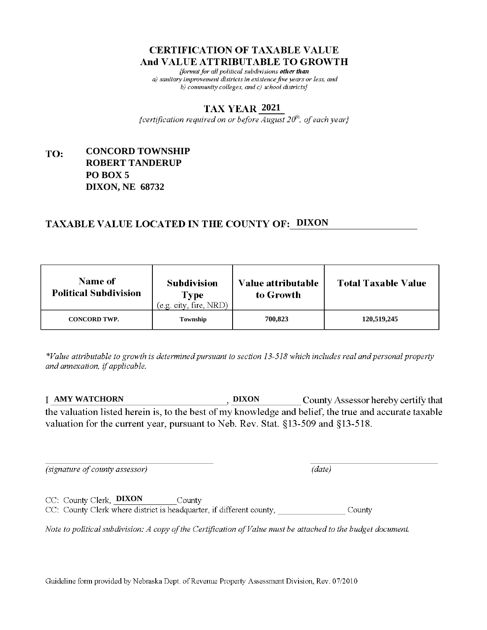fformat for all political subdivisions other than a) sanitary improvement districts in existence five years or less, and b) community colleges, and c) school districts $\}$ 

### **2021**

{certification required on or before  $\overline{August}$   $20<sup>th</sup>$ , of each year}

### **CONCORD TOWNSHIP** TO: **ROBERT TANDERUP PO BOX 5 DIXON, NE 68732**

## **TAXABLE VALUE LOCATED IN THE COUNTY OF: DIXON**

| <b>Name of</b><br><b>Political Subdivision</b> | <b>Subdivision</b><br><b>Type</b><br>(e.g. city, fire, NRD) | Value attributable<br>to Growth | <b>Total Taxable Value</b> |
|------------------------------------------------|-------------------------------------------------------------|---------------------------------|----------------------------|
| <b>CONCORD TWP.</b>                            | Township                                                    | 700.823                         | 120,519,245                |

\*Value attributable to growth is determined pursuant to section 13-518 which includes real and personal property and annexation, if applicable.

**AMY WATCHORN DIXON** County Assessor hereby certify that the valuation listed herein is, to the best of my knowledge and belief, the true and accurate taxable valuation for the current year, pursuant to Neb. Rev. Stat. §13-509 and §13-518.

 $(data)$ 

(signature of county assessor)

CC: County Clerk, DIXON County

CC: County Clerk where district is headquarter, if different county, County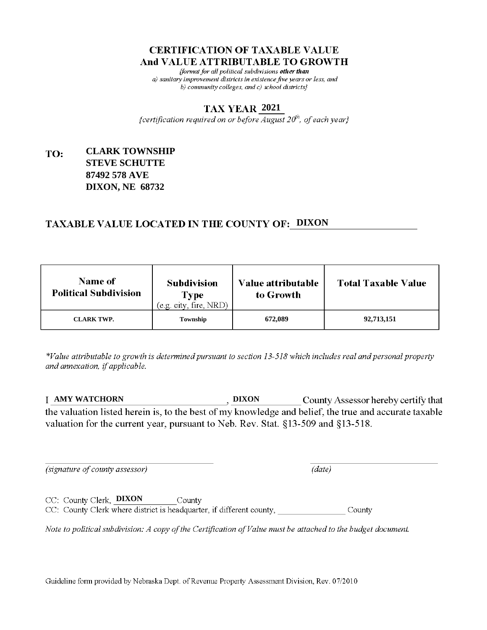fformat for all political subdivisions other than a) sanitary improvement districts in existence five years or less, and b) community colleges, and c) school districts $\}$ 

### **2021**

{certification required on or before  $\overline{August}$   $20<sup>th</sup>$ , of each year}

### **CLARK TOWNSHIP** TO: **STEVE SCHUTTE 87492 578 AVE DIXON, NE 68732**

## **TAXABLE VALUE LOCATED IN THE COUNTY OF: DIXON**

| <b>Name of</b><br><b>Political Subdivision</b> | <b>Subdivision</b><br>Type<br>(e.g. city, fire, NRD) | Value attributable<br>to Growth | <b>Total Taxable Value</b> |
|------------------------------------------------|------------------------------------------------------|---------------------------------|----------------------------|
| <b>CLARK TWP.</b>                              | Township                                             | 672,089                         | 92,713,151                 |

\*Value attributable to growth is determined pursuant to section 13-518 which includes real and personal property and annexation, if applicable.

**AMY WATCHORN DIXON** County Assessor hereby certify that the valuation listed herein is, to the best of my knowledge and belief, the true and accurate taxable valuation for the current year, pursuant to Neb. Rev. Stat. §13-509 and §13-518.

(signature of county assessor)

 $(data)$ 

CC: County Clerk, DIXON County CC: County Clerk where district is headquarter, if different county, County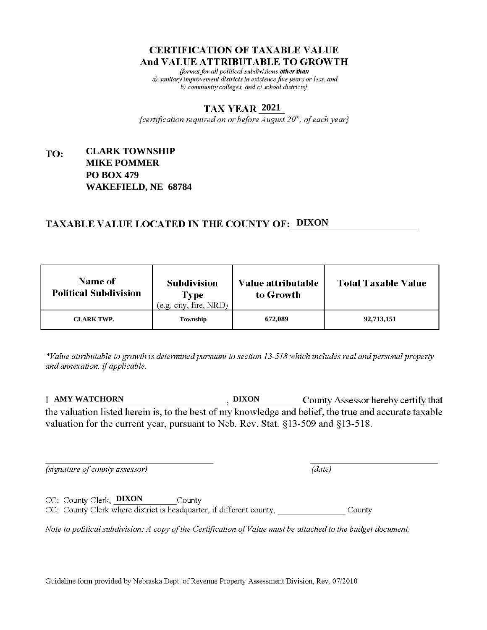fformat for all political subdivisions other than a) sanitary improvement districts in existence five years or less, and b) community colleges, and c) school districts $\}$ 

### **2021**

{certification required on or before  $\overline{August}$   $20<sup>th</sup>$ , of each year}

### **CLARK TOWNSHIP** TO: **MIKE POMMER PO BOX 479 WAKEFIELD, NE 68784**

## **TAXABLE VALUE LOCATED IN THE COUNTY OF: DIXON**

| <b>Name of</b><br><b>Political Subdivision</b> | <b>Subdivision</b><br>Type<br>(e.g. city, fire, NRD) | Value attributable<br>to Growth | <b>Total Taxable Value</b> |
|------------------------------------------------|------------------------------------------------------|---------------------------------|----------------------------|
| <b>CLARK TWP.</b>                              | Township                                             | 672,089                         | 92,713,151                 |

\*Value attributable to growth is determined pursuant to section 13-518 which includes real and personal property and annexation, if applicable.

**AMY WATCHORN DIXON** County Assessor hereby certify that the valuation listed herein is, to the best of my knowledge and belief, the true and accurate taxable valuation for the current year, pursuant to Neb. Rev. Stat. §13-509 and §13-518.

(signature of county assessor)

 $(data)$ 

CC: County Clerk, **DIXON** County CC: County Clerk where district is headquarter, if different county, County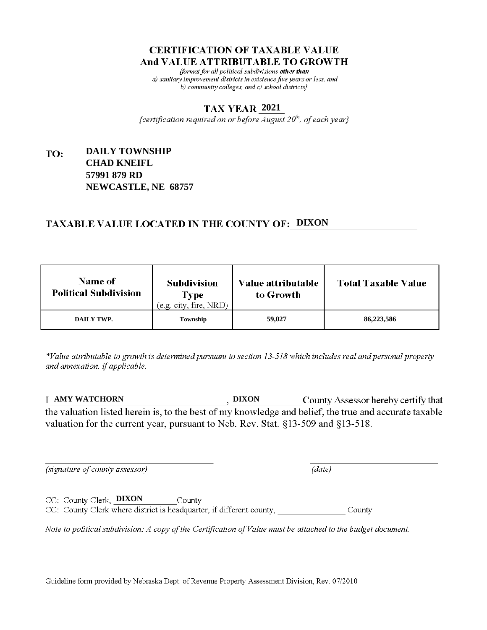fformat for all political subdivisions other than a) sanitary improvement districts in existence five years or less, and b) community colleges, and c) school districts}

### **2021**

{certification required on or before  $\overline{August}$   $20<sup>th</sup>$ , of each year}

### **DAILY TOWNSHIP** TO: **CHAD KNEIFL 57991 879 RD NEWCASTLE, NE 68757**

## **TAXABLE VALUE LOCATED IN THE COUNTY OF: DIXON**

| <b>Name of</b><br><b>Political Subdivision</b> | <b>Subdivision</b><br>Type<br>(e.g. city, fire, NRD) | Value attributable<br>to Growth | <b>Total Taxable Value</b> |
|------------------------------------------------|------------------------------------------------------|---------------------------------|----------------------------|
| DAILY TWP.                                     | Township                                             | 59,027                          | 86,223,586                 |

\*Value attributable to growth is determined pursuant to section 13-518 which includes real and personal property and annexation, if applicable.

**AMY WATCHORN DIXON** County Assessor hereby certify that the valuation listed herein is, to the best of my knowledge and belief, the true and accurate taxable valuation for the current year, pursuant to Neb. Rev. Stat. §13-509 and §13-518.

 $(data)$ 

(signature of county assessor)

CC: County Clerk, DIXON County CC: County Clerk where district is headquarter, if different county, County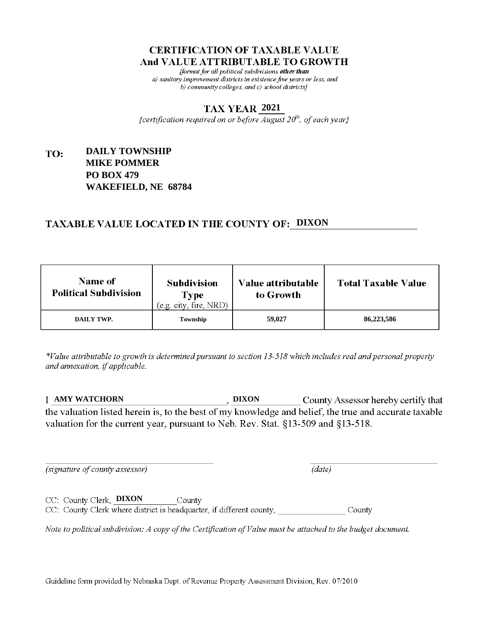fformat for all political subdivisions other than a) sanitary improvement districts in existence five years or less, and b) community colleges, and c) school districts $\}$ 

### **2021**

{certification required on or before  $\overline{August}$   $20<sup>th</sup>$ , of each year}

### **DAILY TOWNSHIP** TO: **MIKE POMMER PO BOX 479 WAKEFIELD, NE 68784**

## **TAXABLE VALUE LOCATED IN THE COUNTY OF: DIXON**

| <b>Name of</b><br><b>Political Subdivision</b> | <b>Subdivision</b><br>Type<br>(e.g. city, fire, NRD) | Value attributable<br>to Growth | <b>Total Taxable Value</b> |
|------------------------------------------------|------------------------------------------------------|---------------------------------|----------------------------|
| DAILY TWP.                                     | Township                                             | 59,027                          | 86,223,586                 |

\*Value attributable to growth is determined pursuant to section 13-518 which includes real and personal property and annexation, if applicable.

**AMY WATCHORN DIXON** County Assessor hereby certify that the valuation listed herein is, to the best of my knowledge and belief, the true and accurate taxable valuation for the current year, pursuant to Neb. Rev. Stat. §13-509 and §13-518.

 $(data)$ 

(signature of county assessor)

CC: County Clerk, **DIXON** County CC: County Clerk where district is headquarter, if different county, County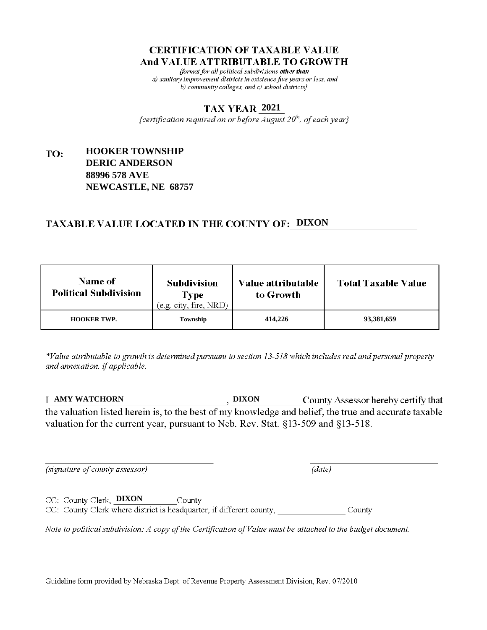fformat for all political subdivisions other than a) sanitary improvement districts in existence five years or less, and b) community colleges, and c) school districts}

### **2021**

{certification required on or before  $\overline{August}$   $20<sup>th</sup>$ , of each year}

### **HOOKER TOWNSHIP** TO: **DERIC ANDERSON 88996 578 AVE NEWCASTLE, NE 68757**

## **TAXABLE VALUE LOCATED IN THE COUNTY OF: DIXON**

| <b>Name of</b><br><b>Political Subdivision</b> | <b>Subdivision</b><br>Type<br>(e.g. city, fire, NRD) | <b>Value attributable</b><br>to Growth | <b>Total Taxable Value</b> |
|------------------------------------------------|------------------------------------------------------|----------------------------------------|----------------------------|
| <b>HOOKER TWP.</b>                             | Township                                             | 414,226                                | 93,381,659                 |

\*Value attributable to growth is determined pursuant to section 13-518 which includes real and personal property and annexation, if applicable.

**AMY WATCHORN DIXON** County Assessor hereby certify that the valuation listed herein is, to the best of my knowledge and belief, the true and accurate taxable valuation for the current year, pursuant to Neb. Rev. Stat. §13-509 and §13-518.

 $(data)$ 

(signature of county assessor)

CC: County Clerk, DIXON County CC: County Clerk where district is headquarter, if different county, County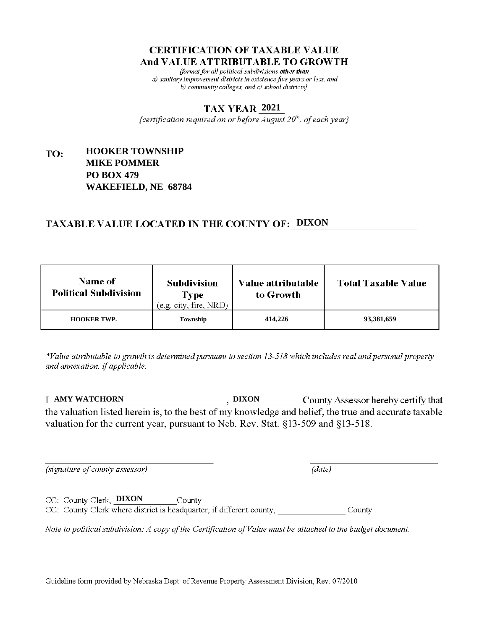fformat for all political subdivisions other than a) sanitary improvement districts in existence five years or less, and b) community colleges, and c) school districts $\}$ 

### **2021**

{certification required on or before  $\overline{August}$   $20<sup>th</sup>$ , of each year}

### **HOOKER TOWNSHIP** TO: **MIKE POMMER PO BOX 479 WAKEFIELD, NE 68784**

## **TAXABLE VALUE LOCATED IN THE COUNTY OF: DIXON**

| <b>Name of</b><br><b>Political Subdivision</b> | <b>Subdivision</b><br><b>Type</b><br>(e.g. city, fire, NRD) | Value attributable<br>to Growth | <b>Total Taxable Value</b> |
|------------------------------------------------|-------------------------------------------------------------|---------------------------------|----------------------------|
| <b>HOOKER TWP.</b>                             | Township                                                    | 414,226                         | 93,381,659                 |

\*Value attributable to growth is determined pursuant to section 13-518 which includes real and personal property and annexation, if applicable.

**AMY WATCHORN DIXON** County Assessor hereby certify that the valuation listed herein is, to the best of my knowledge and belief, the true and accurate taxable valuation for the current year, pursuant to Neb. Rev. Stat. §13-509 and §13-518.

(signature of county assessor)

 $(data)$ 

CC: County Clerk, **DIXON** County CC: County Clerk where district is headquarter, if different county, County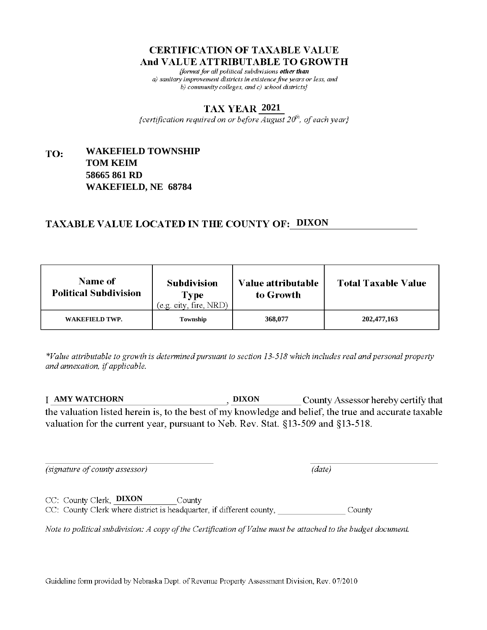fformat for all political subdivisions other than a) sanitary improvement districts in existence five years or less, and b) community colleges, and c) school districts $\}$ 

### **2021**

{certification required on or before  $\overline{August}$   $20<sup>th</sup>$ , of each year}

### **WAKEFIELD TOWNSHIP** TO: **TOM KEIM 58665 861 RD WAKEFIELD, NE 68784**

## **TAXABLE VALUE LOCATED IN THE COUNTY OF: DIXON**

| <b>Name of</b><br><b>Political Subdivision</b> | <b>Subdivision</b><br><b>Type</b><br>(e.g. city, fire, NRD) | Value attributable<br>to Growth | <b>Total Taxable Value</b> |
|------------------------------------------------|-------------------------------------------------------------|---------------------------------|----------------------------|
| WAKEFIELD TWP.                                 | Township                                                    | 368,077                         | 202,477,163                |

\*Value attributable to growth is determined pursuant to section 13-518 which includes real and personal property and annexation, if applicable.

**AMY WATCHORN DIXON** County Assessor hereby certify that the valuation listed herein is, to the best of my knowledge and belief, the true and accurate taxable valuation for the current year, pursuant to Neb. Rev. Stat. §13-509 and §13-518.

 $(data)$ 

(signature of county assessor)

CC: County Clerk, DIXON County CC: County Clerk where district is headquarter, if different county, County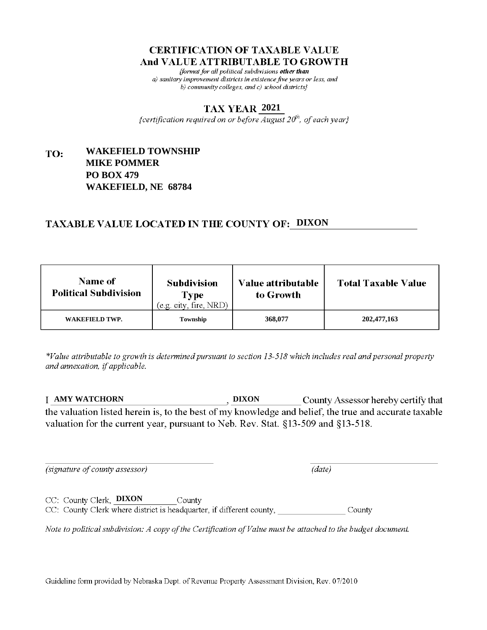fformat for all political subdivisions other than a) sanitary improvement districts in existence five years or less, and b) community colleges, and c) school districts $\}$ 

### **2021**

{certification required on or before  $\overline{August}$   $20<sup>th</sup>$ , of each year}

### **WAKEFIELD TOWNSHIP** TO: **MIKE POMMER PO BOX 479 WAKEFIELD, NE 68784**

## **TAXABLE VALUE LOCATED IN THE COUNTY OF: DIXON**

| <b>Name of</b><br><b>Political Subdivision</b> | <b>Subdivision</b><br><b>Type</b><br>(e.g. city, fire, NRD) | Value attributable<br>to Growth | <b>Total Taxable Value</b> |
|------------------------------------------------|-------------------------------------------------------------|---------------------------------|----------------------------|
| WAKEFIELD TWP.                                 | Township                                                    | 368,077                         | 202,477,163                |

\*Value attributable to growth is determined pursuant to section 13-518 which includes real and personal property and annexation, if applicable.

**AMY WATCHORN DIXON** County Assessor hereby certify that the valuation listed herein is, to the best of my knowledge and belief, the true and accurate taxable valuation for the current year, pursuant to Neb. Rev. Stat. §13-509 and §13-518.

 $(data)$ 

(signature of county assessor)

CC: County Clerk, **DIXON** County CC: County Clerk where district is headquarter, if different county, County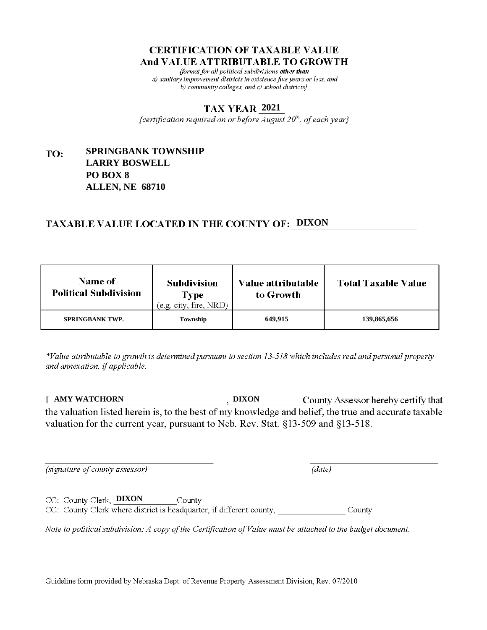fformat for all political subdivisions other than a) sanitary improvement districts in existence five years or less, and b) community colleges, and c) school districts $\}$ 

### **2021**

{certification required on or before  $\overline{August}$   $20<sup>th</sup>$ , of each year}

### **SPRINGBANK TOWNSHIP** TO: **LARRY BOSWELL PO BOX 8 ALLEN, NE 68710**

## **TAXABLE VALUE LOCATED IN THE COUNTY OF: DIXON**

| <b>Name of</b><br><b>Political Subdivision</b> | <b>Subdivision</b><br><b>Type</b><br>(e.g. city, fire, NRD) | Value attributable<br>to Growth | <b>Total Taxable Value</b> |
|------------------------------------------------|-------------------------------------------------------------|---------------------------------|----------------------------|
| <b>SPRINGBANK TWP.</b>                         | Township                                                    | 649.915                         | 139,865,656                |

\*Value attributable to growth is determined pursuant to section 13-518 which includes real and personal property and annexation, if applicable.

**AMY WATCHORN DIXON** County Assessor hereby certify that the valuation listed herein is, to the best of my knowledge and belief, the true and accurate taxable valuation for the current year, pursuant to Neb. Rev. Stat. §13-509 and §13-518.

(signature of county assessor)

 $(data)$ 

CC: County Clerk, DIXON County CC: County Clerk where district is headquarter, if different county, County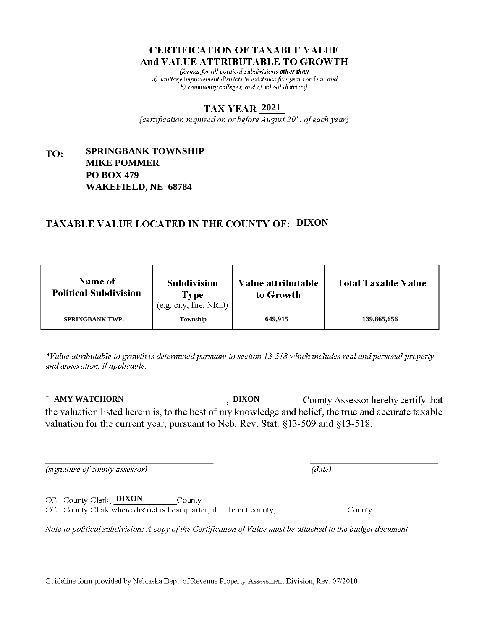fformat for all political subdivisions other than a) sanitary improvement districts in existence five years or less, and b) community colleges, and c) school districts $\}$ 

### **2021**

{certification required on or before  $\overline{August}$   $20<sup>th</sup>$ , of each year}

### **SPRINGBANK TOWNSHIP** TO: **MIKE POMMER PO BOX 479 WAKEFIELD, NE 68784**

## **TAXABLE VALUE LOCATED IN THE COUNTY OF: DIXON**

| <b>Name of</b><br><b>Political Subdivision</b> | <b>Subdivision</b><br><b>Type</b><br>(e.g. city, fire, NRD) | Value attributable<br>to Growth | <b>Total Taxable Value</b> |
|------------------------------------------------|-------------------------------------------------------------|---------------------------------|----------------------------|
| <b>SPRINGBANK TWP.</b>                         | Township                                                    | 649.915                         | 139,865,656                |

\*Value attributable to growth is determined pursuant to section 13-518 which includes real and personal property and annexation, if applicable.

**AMY WATCHORN DIXON** County Assessor hereby certify that the valuation listed herein is, to the best of my knowledge and belief, the true and accurate taxable valuation for the current year, pursuant to Neb. Rev. Stat. §13-509 and §13-518.

(signature of county assessor)

CC: County Clerk, **DIXON** 

 $(data)$ 

CC: County Clerk where district is headquarter, if different county, County

County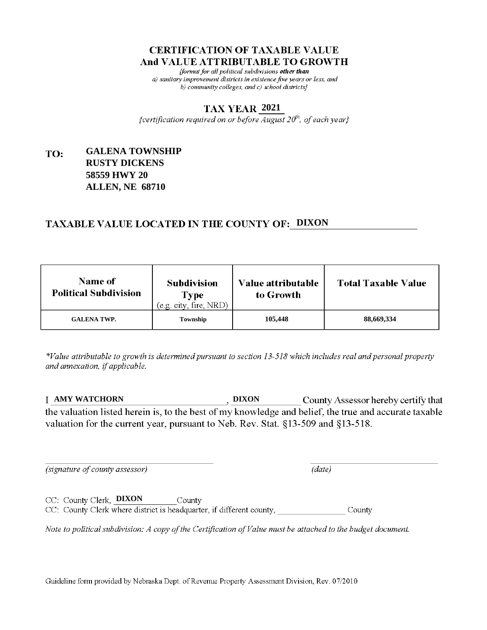fformat for all political subdivisions other than a) sanitary improvement districts in existence five years or less, and b) community colleges, and c) school districts $\}$ 

### **2021**

{certification required on or before  $\overline{August}$   $20<sup>th</sup>$ , of each year}

### **GALENA TOWNSHIP** TO: **RUSTY DICKENS 58559 HWY 20 ALLEN, NE 68710**

## **TAXABLE VALUE LOCATED IN THE COUNTY OF: DIXON**

| <b>Name of</b><br><b>Political Subdivision</b> | <b>Subdivision</b><br>Type<br>(e.g. city, fire, NRD) | <b>Value attributable</b><br>to Growth | <b>Total Taxable Value</b> |
|------------------------------------------------|------------------------------------------------------|----------------------------------------|----------------------------|
| <b>GALENA TWP.</b>                             | Township                                             | 105,448                                | 88,669,334                 |

\*Value attributable to growth is determined pursuant to section 13-518 which includes real and personal property and annexation, if applicable.

**AMY WATCHORN DIXON** County Assessor hereby certify that the valuation listed herein is, to the best of my knowledge and belief, the true and accurate taxable valuation for the current year, pursuant to Neb. Rev. Stat. §13-509 and §13-518.

(signature of county assessor)

 $(data)$ 

CC: County Clerk, DIXON County CC: County Clerk where district is headquarter, if different county, County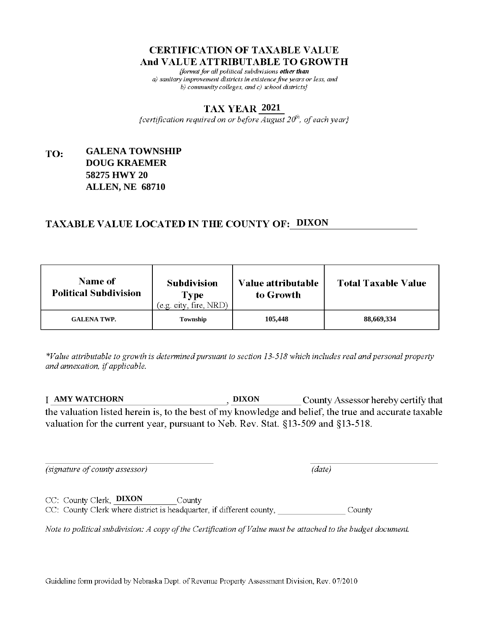fformat for all political subdivisions other than a) sanitary improvement districts in existence five years or less, and b) community colleges, and c) school districts $\}$ 

### **2021**

{certification required on or before  $\overline{August}$   $20<sup>th</sup>$ , of each year}

### **GALENA TOWNSHIP** TO: **DOUG KRAEMER 58275 HWY 20 ALLEN, NE 68710**

## **TAXABLE VALUE LOCATED IN THE COUNTY OF: DIXON**

| <b>Name of</b><br><b>Political Subdivision</b> | <b>Subdivision</b><br>Type<br>(e.g. city, fire, NRD) | <b>Value attributable</b><br>to Growth | <b>Total Taxable Value</b> |
|------------------------------------------------|------------------------------------------------------|----------------------------------------|----------------------------|
| <b>GALENA TWP.</b>                             | Township                                             | 105,448                                | 88,669,334                 |

\*Value attributable to growth is determined pursuant to section 13-518 which includes real and personal property and annexation, if applicable.

**AMY WATCHORN DIXON** County Assessor hereby certify that the valuation listed herein is, to the best of my knowledge and belief, the true and accurate taxable valuation for the current year, pursuant to Neb. Rev. Stat. §13-509 and §13-518.

 $(data)$ 

(signature of county assessor)

CC: County Clerk, DIXON County

CC: County Clerk where district is headquarter, if different county, County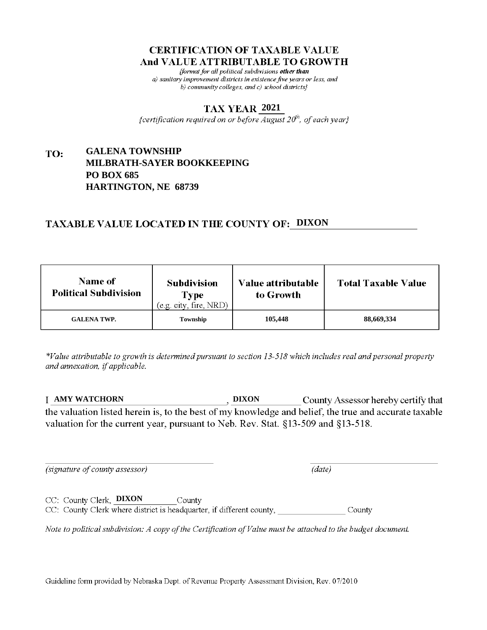fformat for all political subdivisions other than a) sanitary improvement districts in existence five years or less, and b) community colleges, and c) school districts $\}$ 

### **2021**

{certification required on or before  $\overline{August}$   $20<sup>th</sup>$ , of each year}

#### **GALENA TOWNSHIP** TO: **MILBRATH-SAYER BOOKKEEPING PO BOX 685 HARTINGTON, NE 68739**

# **TAXABLE VALUE LOCATED IN THE COUNTY OF: DIXON**

| <b>Name of</b><br><b>Political Subdivision</b> | <b>Subdivision</b><br>Type<br>(e.g. city, fire, NRD) | Value attributable<br>to Growth | <b>Total Taxable Value</b> |
|------------------------------------------------|------------------------------------------------------|---------------------------------|----------------------------|
| <b>GALENA TWP.</b>                             | Township                                             | 105,448                         | 88,669,334                 |

\*Value attributable to growth is determined pursuant to section 13-518 which includes real and personal property and annexation, if applicable.

**AMY WATCHORN DIXON** County Assessor hereby certify that the valuation listed herein is, to the best of my knowledge and belief, the true and accurate taxable valuation for the current year, pursuant to Neb. Rev. Stat. §13-509 and §13-518.

(signature of county assessor)

 $(data)$ 

CC: County Clerk, **DIXON** County CC: County Clerk where district is headquarter, if different county, County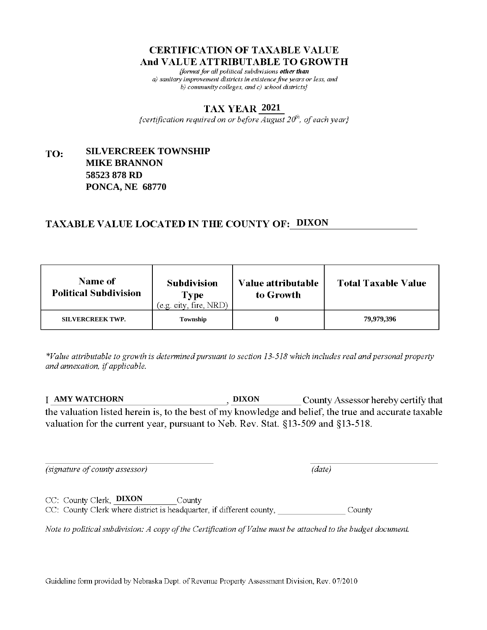fformat for all political subdivisions other than a) sanitary improvement districts in existence five years or less, and b) community colleges, and c) school districts $\}$ 

### **2021**

{certification required on or before  $\overline{August}$   $20<sup>th</sup>$ , of each year}

#### **SILVERCREEK TOWNSHIP** TO: **MIKE BRANNON 58523 878 RD PONCA, NE 68770**

## **TAXABLE VALUE LOCATED IN THE COUNTY OF: DIXON**

| <b>Name of</b><br><b>Political Subdivision</b> | <b>Subdivision</b><br>Type<br>(e.g. city, fire, NRD) | Value attributable<br>to Growth | <b>Total Taxable Value</b> |
|------------------------------------------------|------------------------------------------------------|---------------------------------|----------------------------|
| <b>SILVERCREEK TWP.</b>                        | Township                                             |                                 | 79,979,396                 |

\*Value attributable to growth is determined pursuant to section 13-518 which includes real and personal property and annexation, if applicable.

**AMY WATCHORN DIXON** County Assessor hereby certify that the valuation listed herein is, to the best of my knowledge and belief, the true and accurate taxable valuation for the current year, pursuant to Neb. Rev. Stat. §13-509 and §13-518.

(signature of county assessor)

 $(data)$ 

CC: County Clerk, DIXON County CC: County Clerk where district is headquarter, if different county, County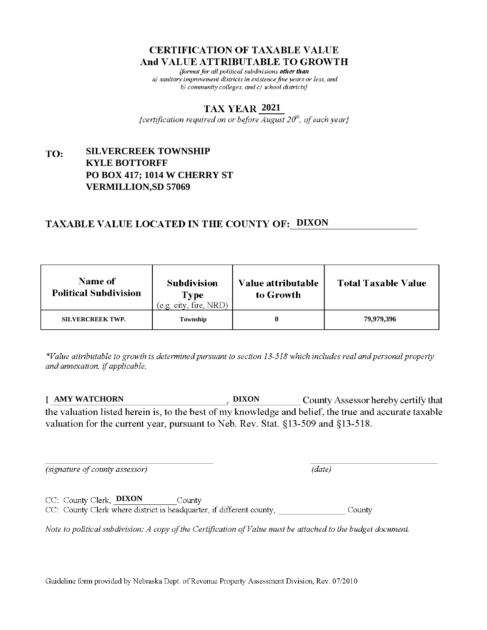fformat for all political subdivisions other than a) sanitary improvement districts in existence five years or less, and b) community colleges, and c) school districts}

#### **2021**

{certification required on or before  $\overline{August}$   $20<sup>th</sup>$ , of each year}

#### **SILVERCREEK TOWNSHIP** TO: **KYLE BOTTORFF PO BOX 417; 1014 W CHERRY ST VERMILLION,SD 57069**

## **TAXABLE VALUE LOCATED IN THE COUNTY OF: DIXON**

| <b>Name of</b><br><b>Political Subdivision</b> | <b>Subdivision</b><br>Type<br>(e.g. city, fire, NRD) | Value attributable<br>to Growth | <b>Total Taxable Value</b> |
|------------------------------------------------|------------------------------------------------------|---------------------------------|----------------------------|
| <b>SILVERCREEK TWP.</b>                        | Township                                             |                                 | 79,979,396                 |

\*Value attributable to growth is determined pursuant to section 13-518 which includes real and personal property and annexation, if applicable.

**AMY WATCHORN DIXON** County Assessor hereby certify that the valuation listed herein is, to the best of my knowledge and belief, the true and accurate taxable valuation for the current year, pursuant to Neb. Rev. Stat. §13-509 and §13-518.

(signature of county assessor)

 $(data)$ 

CC: County Clerk, **DIXON** County CC: County Clerk where district is headquarter, if different county, County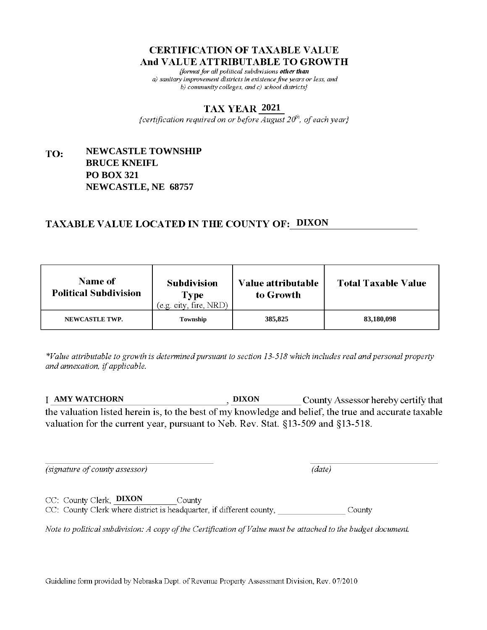fformat for all political subdivisions other than a) sanitary improvement districts in existence five years or less, and b) community colleges, and c) school districts $\}$ 

### **2021**

{certification required on or before  $\overline{August}$   $20<sup>th</sup>$ , of each year}

#### **NEWCASTLE TOWNSHIP** TO: **BRUCE KNEIFL PO BOX 321 NEWCASTLE, NE 68757**

# **TAXABLE VALUE LOCATED IN THE COUNTY OF: DIXON**

| <b>Name of</b><br><b>Political Subdivision</b> | <b>Subdivision</b><br>Type<br>(e.g. city, fire, NRD) | Value attributable<br>to Growth | <b>Total Taxable Value</b> |
|------------------------------------------------|------------------------------------------------------|---------------------------------|----------------------------|
| NEWCASTLE TWP.                                 | Township                                             | 385,825                         | 83,180,098                 |

\*Value attributable to growth is determined pursuant to section 13-518 which includes real and personal property and annexation, if applicable.

**AMY WATCHORN DIXON** County Assessor hereby certify that the valuation listed herein is, to the best of my knowledge and belief, the true and accurate taxable valuation for the current year, pursuant to Neb. Rev. Stat. §13-509 and §13-518.

(signature of county assessor)

 $(data)$ 

CC: County Clerk, **DIXON** County CC: County Clerk where district is headquarter, if different county, County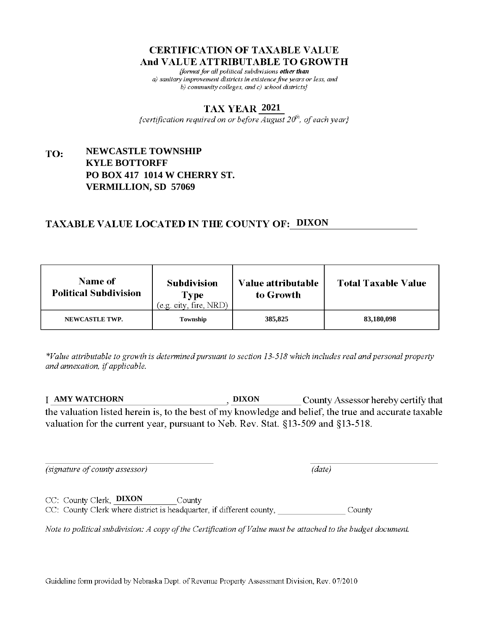fformat for all political subdivisions other than a) sanitary improvement districts in existence five years or less, and b) community colleges, and c) school districts}

### **2021**

{certification required on or before  $\overline{August}$   $20<sup>th</sup>$ , of each year}

#### **NEWCASTLE TOWNSHIP** TO: **KYLE BOTTORFF PO BOX 417 1014 W CHERRY ST. VERMILLION, SD 57069**

## **TAXABLE VALUE LOCATED IN THE COUNTY OF: DIXON**

| <b>Name of</b><br><b>Political Subdivision</b> | <b>Subdivision</b><br>Type<br>(e.g. city, fire, NRD) | Value attributable<br>to Growth | <b>Total Taxable Value</b> |
|------------------------------------------------|------------------------------------------------------|---------------------------------|----------------------------|
| NEWCASTLE TWP.                                 | Township                                             | 385,825                         | 83,180,098                 |

\*Value attributable to growth is determined pursuant to section 13-518 which includes real and personal property and annexation, if applicable.

**AMY WATCHORN DIXON** County Assessor hereby certify that the valuation listed herein is, to the best of my knowledge and belief, the true and accurate taxable valuation for the current year, pursuant to Neb. Rev. Stat. §13-509 and §13-518.

(signature of county assessor)

 $(data)$ 

CC: County Clerk, DIXON County CC: County Clerk where district is headquarter, if different county, County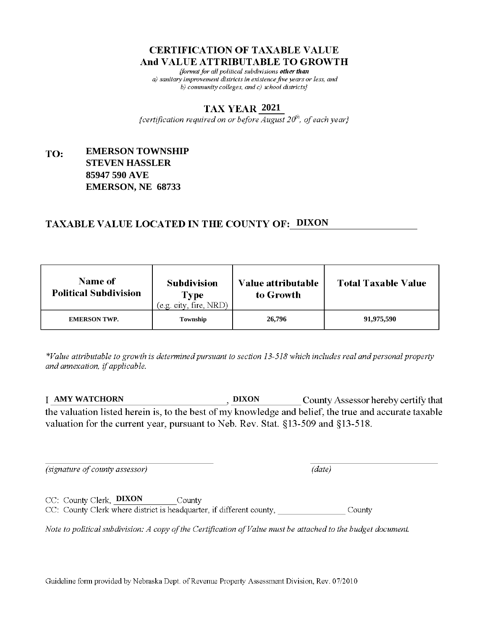fformat for all political subdivisions other than a) sanitary improvement districts in existence five years or less, and b) community colleges, and c) school districts}

### **2021**

{certification required on or before  $\overline{August}$   $20<sup>th</sup>$ , of each year}

#### **EMERSON TOWNSHIP** TO: **STEVEN HASSLER 85947 590 AVE EMERSON, NE 68733**

## **TAXABLE VALUE LOCATED IN THE COUNTY OF: DIXON**

| <b>Name of</b><br><b>Political Subdivision</b> | <b>Subdivision</b><br><b>Type</b><br>(e.g. city, fire, NRD) | Value attributable<br>to Growth | <b>Total Taxable Value</b> |
|------------------------------------------------|-------------------------------------------------------------|---------------------------------|----------------------------|
| <b>EMERSON TWP.</b>                            | Township                                                    | 26,796                          | 91,975,590                 |

\*Value attributable to growth is determined pursuant to section 13-518 which includes real and personal property and annexation, if applicable.

**AMY WATCHORN DIXON** County Assessor hereby certify that the valuation listed herein is, to the best of my knowledge and belief, the true and accurate taxable valuation for the current year, pursuant to Neb. Rev. Stat. §13-509 and §13-518.

(signature of county assessor)

 $(data)$ 

CC: County Clerk, DIXON County CC: County Clerk where district is headquarter, if different county, County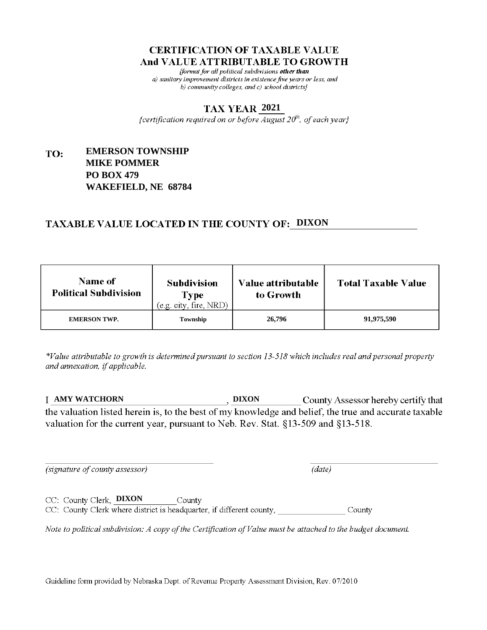fformat for all political subdivisions other than a) sanitary improvement districts in existence five years or less, and b) community colleges, and c) school districts $\}$ 

### **2021**

{certification required on or before  $\overline{August}$   $20<sup>th</sup>$ , of each year}

#### **EMERSON TOWNSHIP** TO: **MIKE POMMER PO BOX 479 WAKEFIELD, NE 68784**

## **TAXABLE VALUE LOCATED IN THE COUNTY OF: DIXON**

| <b>Name of</b><br><b>Political Subdivision</b> | <b>Subdivision</b><br><b>Type</b><br>(e.g. city, fire, NRD) | Value attributable<br>to Growth | <b>Total Taxable Value</b> |
|------------------------------------------------|-------------------------------------------------------------|---------------------------------|----------------------------|
| <b>EMERSON TWP.</b>                            | Township                                                    | 26,796                          | 91,975,590                 |

\*Value attributable to growth is determined pursuant to section 13-518 which includes real and personal property and annexation, if applicable.

**AMY WATCHORN DIXON** County Assessor hereby certify that the valuation listed herein is, to the best of my knowledge and belief, the true and accurate taxable valuation for the current year, pursuant to Neb. Rev. Stat. §13-509 and §13-518.

(signature of county assessor)

CC: County Clerk, **DIXON** 

 $(data)$ 

CC: County Clerk where district is headquarter, if different county, County

County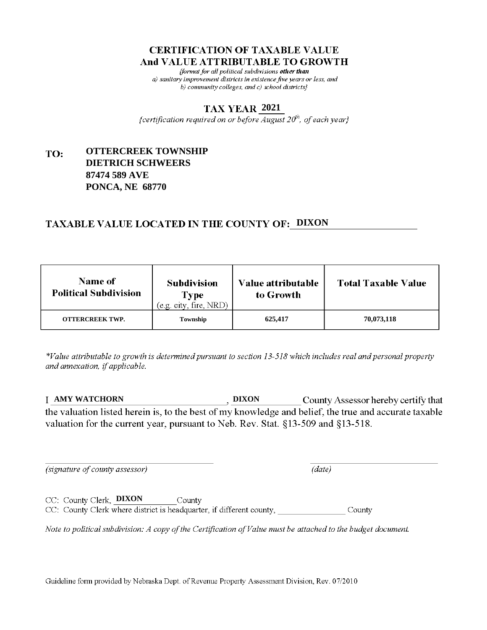fformat for all political subdivisions other than a) sanitary improvement districts in existence five years or less, and b) community colleges, and c) school districts $\}$ 

### **2021**

{certification required on or before  $\overline{August}$   $20<sup>th</sup>$ , of each year}

#### **OTTERCREEK TOWNSHIP** TO: **DIETRICH SCHWEERS 87474 589 AVE PONCA, NE 68770**

# **TAXABLE VALUE LOCATED IN THE COUNTY OF: DIXON**

| <b>Name of</b><br><b>Political Subdivision</b> | <b>Subdivision</b><br>Type<br>(e.g. city, fire, NRD) | Value attributable<br>to Growth | <b>Total Taxable Value</b> |
|------------------------------------------------|------------------------------------------------------|---------------------------------|----------------------------|
| <b>OTTERCREEK TWP.</b>                         | Township                                             | 625,417                         | 70,073,118                 |

\*Value attributable to growth is determined pursuant to section 13-518 which includes real and personal property and annexation, if applicable.

**AMY WATCHORN DIXON** County Assessor hereby certify that the valuation listed herein is, to the best of my knowledge and belief, the true and accurate taxable valuation for the current year, pursuant to Neb. Rev. Stat. §13-509 and §13-518.

(signature of county assessor)

 $(data)$ 

CC: County Clerk, **DIXON** County CC: County Clerk where district is headquarter, if different county, County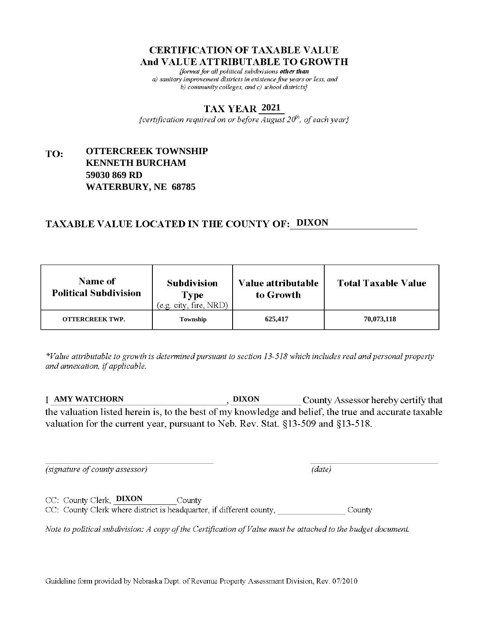fformat for all political subdivisions other than a) sanitary improvement districts in existence five years or less, and b) community colleges, and c) school districts $\}$ 

### **2021**

{certification required on or before  $\overline{August}$   $20<sup>th</sup>$ , of each year}

#### **OTTERCREEK TOWNSHIP** TO: **KENNETH BURCHAM 59030 869 RD WATERBURY, NE 68785**

# **TAXABLE VALUE LOCATED IN THE COUNTY OF: DIXON**

| Name of<br><b>Political Subdivision</b> | <b>Subdivision</b><br><b>Type</b><br>(e.g. city, fire, NRD) | <b>Value attributable</b><br>to Growth | <b>Total Taxable Value</b> |
|-----------------------------------------|-------------------------------------------------------------|----------------------------------------|----------------------------|
| <b>OTTERCREEK TWP.</b>                  | Township                                                    | 625,417                                | 70,073,118                 |

\*Value attributable to growth is determined pursuant to section 13-518 which includes real and personal property and annexation, if applicable.

**AMY WATCHORN DIXON** County Assessor hereby certify that the valuation listed herein is, to the best of my knowledge and belief, the true and accurate taxable valuation for the current year, pursuant to Neb. Rev. Stat. §13-509 and §13-518.

 $(data)$ 

(signature of county assessor)

CC: County Clerk, **DIXON** County CC: County Clerk where district is headquarter, if different county, County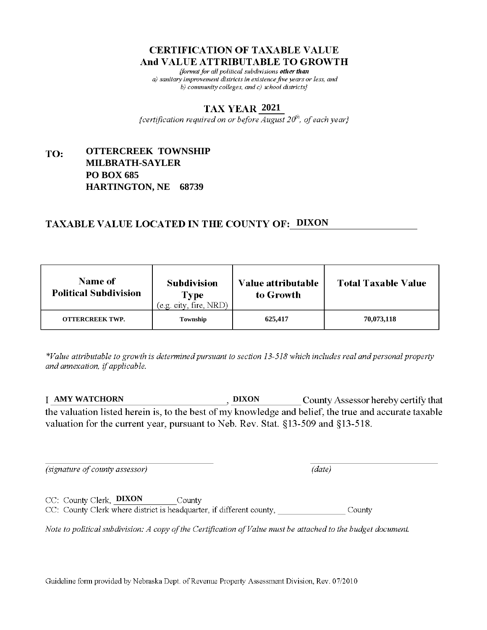fformat for all political subdivisions other than a) sanitary improvement districts in existence five years or less, and b) community colleges, and c) school districts $\}$ 

### **2021**

{certification required on or before  $\overline{August}$   $20<sup>th</sup>$ , of each year}

#### **OTTERCREEK TOWNSHIP** TO: **MILBRATH-SAYLER PO BOX 685 HARTINGTON, NE 68739**

## **TAXABLE VALUE LOCATED IN THE COUNTY OF: DIXON**

| <b>Name of</b><br><b>Political Subdivision</b> | <b>Subdivision</b><br><b>Type</b><br>(e.g. city, fire, NRD) | <b>Value attributable</b><br>to Growth | <b>Total Taxable Value</b> |
|------------------------------------------------|-------------------------------------------------------------|----------------------------------------|----------------------------|
| <b>OTTERCREEK TWP.</b>                         | Township                                                    | 625,417                                | 70,073,118                 |

\*Value attributable to growth is determined pursuant to section 13-518 which includes real and personal property and annexation, if applicable.

**AMY WATCHORN DIXON** County Assessor hereby certify that the valuation listed herein is, to the best of my knowledge and belief, the true and accurate taxable valuation for the current year, pursuant to Neb. Rev. Stat. §13-509 and §13-518.

 $(data)$ 

(signature of county assessor)

CC: County Clerk, **DIXON** County CC: County Clerk where district is headquarter, if different county, County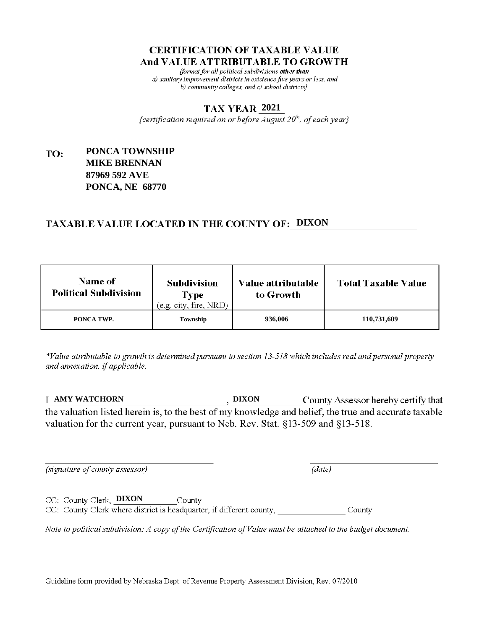fformat for all political subdivisions other than a) sanitary improvement districts in existence five years or less, and b) community colleges, and c) school districts $\}$ 

### **2021**

{certification required on or before  $\overline{August}$   $20<sup>th</sup>$ , of each year}

#### **PONCA TOWNSHIP** TO: **MIKE BRENNAN 87969 592 AVE PONCA, NE 68770**

# **TAXABLE VALUE LOCATED IN THE COUNTY OF: DIXON**

| <b>Name of</b><br><b>Political Subdivision</b> | <b>Subdivision</b><br>Type<br>(e.g. city, fire, NRD) | Value attributable<br>to Growth | <b>Total Taxable Value</b> |
|------------------------------------------------|------------------------------------------------------|---------------------------------|----------------------------|
| PONCA TWP.                                     | Township                                             | 936,006                         | 110,731,609                |

\*Value attributable to growth is determined pursuant to section 13-518 which includes real and personal property and annexation, if applicable.

**AMY WATCHORN DIXON** County Assessor hereby certify that the valuation listed herein is, to the best of my knowledge and belief, the true and accurate taxable valuation for the current year, pursuant to Neb. Rev. Stat. §13-509 and §13-518.

 $(data)$ 

(signature of county assessor)

CC: County Clerk, DIXON County CC: County Clerk where district is headquarter, if different county, County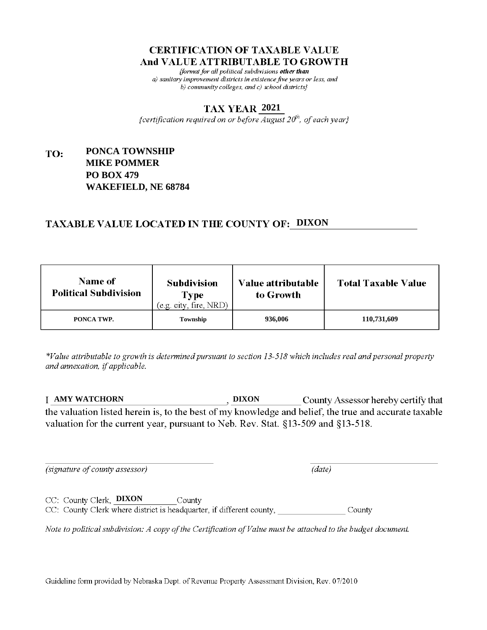fformat for all political subdivisions other than a) sanitary improvement districts in existence five years or less, and b) community colleges, and c) school districts $\}$ 

### **2021**

{certification required on or before  $\overline{August}$   $20<sup>th</sup>$ , of each year}

#### **PONCA TOWNSHIP** TO: **MIKE POMMER PO BOX 479 WAKEFIELD, NE 68784**

# **TAXABLE VALUE LOCATED IN THE COUNTY OF: DIXON**

| <b>Name of</b><br><b>Political Subdivision</b> | <b>Subdivision</b><br>Type<br>(e.g. city, fire, NRD) | Value attributable<br>to Growth | <b>Total Taxable Value</b> |
|------------------------------------------------|------------------------------------------------------|---------------------------------|----------------------------|
| PONCA TWP.                                     | Township                                             | 936,006                         | 110,731,609                |

\*Value attributable to growth is determined pursuant to section 13-518 which includes real and personal property and annexation, if applicable.

**AMY WATCHORN DIXON** County Assessor hereby certify that the valuation listed herein is, to the best of my knowledge and belief, the true and accurate taxable valuation for the current year, pursuant to Neb. Rev. Stat. §13-509 and §13-518.

 $(data)$ 

(signature of county assessor)

CC: County Clerk, **DIXON** County

CC: County Clerk where district is headquarter, if different county, County